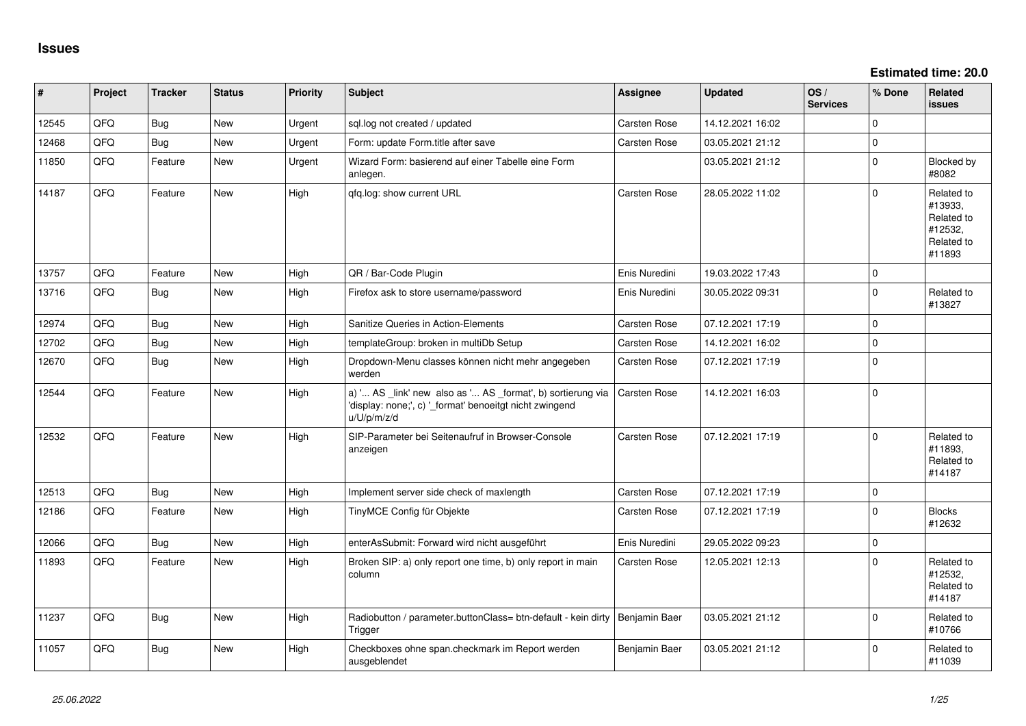**Estimated time: 20.0**

| #     | Project | <b>Tracker</b> | <b>Status</b> | <b>Priority</b> | <b>Subject</b>                                                                                                                        | <b>Assignee</b>     | <b>Updated</b>   | OS/<br><b>Services</b> | % Done      | Related<br><b>issues</b>                                               |
|-------|---------|----------------|---------------|-----------------|---------------------------------------------------------------------------------------------------------------------------------------|---------------------|------------------|------------------------|-------------|------------------------------------------------------------------------|
| 12545 | QFQ     | <b>Bug</b>     | New           | Urgent          | sql.log not created / updated                                                                                                         | <b>Carsten Rose</b> | 14.12.2021 16:02 |                        | $\Omega$    |                                                                        |
| 12468 | QFQ     | Bug            | <b>New</b>    | Urgent          | Form: update Form.title after save                                                                                                    | <b>Carsten Rose</b> | 03.05.2021 21:12 |                        | $\mathbf 0$ |                                                                        |
| 11850 | QFQ     | Feature        | <b>New</b>    | Urgent          | Wizard Form: basierend auf einer Tabelle eine Form<br>anlegen.                                                                        |                     | 03.05.2021 21:12 |                        | $\mathbf 0$ | Blocked by<br>#8082                                                    |
| 14187 | QFQ     | Feature        | <b>New</b>    | High            | qfq.log: show current URL                                                                                                             | <b>Carsten Rose</b> | 28.05.2022 11:02 |                        | $\mathbf 0$ | Related to<br>#13933,<br>Related to<br>#12532,<br>Related to<br>#11893 |
| 13757 | QFQ     | Feature        | New           | High            | QR / Bar-Code Plugin                                                                                                                  | Enis Nuredini       | 19.03.2022 17:43 |                        | $\mathbf 0$ |                                                                        |
| 13716 | QFQ     | Bug            | <b>New</b>    | High            | Firefox ask to store username/password                                                                                                | Enis Nuredini       | 30.05.2022 09:31 |                        | $\mathbf 0$ | Related to<br>#13827                                                   |
| 12974 | QFQ     | <b>Bug</b>     | <b>New</b>    | High            | Sanitize Queries in Action-Elements                                                                                                   | <b>Carsten Rose</b> | 07.12.2021 17:19 |                        | $\mathbf 0$ |                                                                        |
| 12702 | QFQ     | <b>Bug</b>     | <b>New</b>    | High            | templateGroup: broken in multiDb Setup                                                                                                | <b>Carsten Rose</b> | 14.12.2021 16:02 |                        | $\mathbf 0$ |                                                                        |
| 12670 | QFQ     | <b>Bug</b>     | New           | High            | Dropdown-Menu classes können nicht mehr angegeben<br>werden                                                                           | <b>Carsten Rose</b> | 07.12.2021 17:19 |                        | $\mathbf 0$ |                                                                        |
| 12544 | QFQ     | Feature        | <b>New</b>    | High            | a) ' AS _link' new also as ' AS _format', b) sortierung via<br>'display: none;', c) '_format' benoeitgt nicht zwingend<br>u/U/p/m/z/d | Carsten Rose        | 14.12.2021 16:03 |                        | $\pmb{0}$   |                                                                        |
| 12532 | QFQ     | Feature        | New           | High            | SIP-Parameter bei Seitenaufruf in Browser-Console<br>anzeigen                                                                         | Carsten Rose        | 07.12.2021 17:19 |                        | $\mathbf 0$ | Related to<br>#11893,<br>Related to<br>#14187                          |
| 12513 | QFQ     | <b>Bug</b>     | <b>New</b>    | High            | Implement server side check of maxlength                                                                                              | Carsten Rose        | 07.12.2021 17:19 |                        | $\mathbf 0$ |                                                                        |
| 12186 | QFQ     | Feature        | <b>New</b>    | High            | TinyMCE Config für Objekte                                                                                                            | <b>Carsten Rose</b> | 07.12.2021 17:19 |                        | $\mathbf 0$ | <b>Blocks</b><br>#12632                                                |
| 12066 | QFQ     | Bug            | <b>New</b>    | High            | enterAsSubmit: Forward wird nicht ausgeführt                                                                                          | Enis Nuredini       | 29.05.2022 09:23 |                        | $\mathbf 0$ |                                                                        |
| 11893 | QFQ     | Feature        | <b>New</b>    | High            | Broken SIP: a) only report one time, b) only report in main<br>column                                                                 | <b>Carsten Rose</b> | 12.05.2021 12:13 |                        | $\Omega$    | Related to<br>#12532,<br>Related to<br>#14187                          |
| 11237 | QFQ     | Bug            | <b>New</b>    | High            | Radiobutton / parameter.buttonClass= btn-default - kein dirty<br>Trigger                                                              | Benjamin Baer       | 03.05.2021 21:12 |                        | $\mathbf 0$ | Related to<br>#10766                                                   |
| 11057 | QFQ     | <b>Bug</b>     | <b>New</b>    | High            | Checkboxes ohne span.checkmark im Report werden<br>ausgeblendet                                                                       | Benjamin Baer       | 03.05.2021 21:12 |                        | $\mathbf 0$ | Related to<br>#11039                                                   |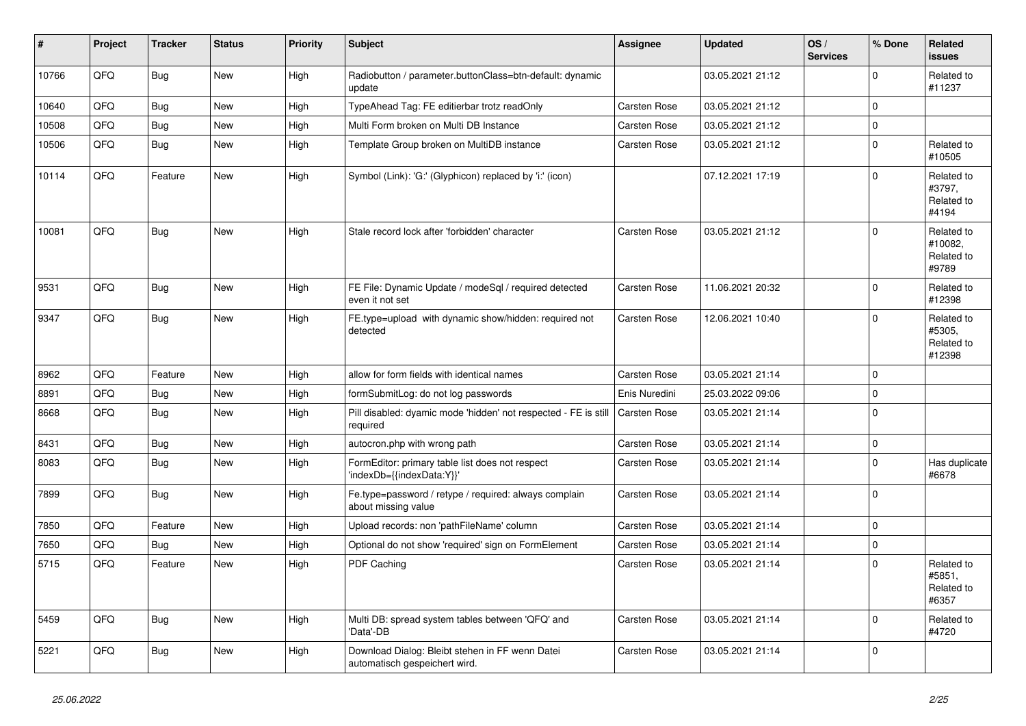| #     | Project | <b>Tracker</b> | <b>Status</b> | <b>Priority</b> | <b>Subject</b>                                                                   | Assignee            | <b>Updated</b>   | OS/<br><b>Services</b> | % Done         | Related<br><b>issues</b>                     |
|-------|---------|----------------|---------------|-----------------|----------------------------------------------------------------------------------|---------------------|------------------|------------------------|----------------|----------------------------------------------|
| 10766 | QFQ     | <b>Bug</b>     | <b>New</b>    | High            | Radiobutton / parameter.buttonClass=btn-default: dynamic<br>update               |                     | 03.05.2021 21:12 |                        | 0              | Related to<br>#11237                         |
| 10640 | QFQ     | <b>Bug</b>     | <b>New</b>    | High            | TypeAhead Tag: FE editierbar trotz readOnly                                      | Carsten Rose        | 03.05.2021 21:12 |                        | $\Omega$       |                                              |
| 10508 | QFQ     | <b>Bug</b>     | <b>New</b>    | High            | Multi Form broken on Multi DB Instance                                           | Carsten Rose        | 03.05.2021 21:12 |                        | $\Omega$       |                                              |
| 10506 | QFQ     | <b>Bug</b>     | <b>New</b>    | High            | Template Group broken on MultiDB instance                                        | Carsten Rose        | 03.05.2021 21:12 |                        | $\Omega$       | Related to<br>#10505                         |
| 10114 | QFQ     | Feature        | <b>New</b>    | High            | Symbol (Link): 'G:' (Glyphicon) replaced by 'i:' (icon)                          |                     | 07.12.2021 17:19 |                        | $\Omega$       | Related to<br>#3797,<br>Related to<br>#4194  |
| 10081 | QFQ     | <b>Bug</b>     | <b>New</b>    | High            | Stale record lock after 'forbidden' character                                    | Carsten Rose        | 03.05.2021 21:12 |                        | $\Omega$       | Related to<br>#10082,<br>Related to<br>#9789 |
| 9531  | QFQ     | <b>Bug</b>     | New           | High            | FE File: Dynamic Update / modeSql / required detected<br>even it not set         | Carsten Rose        | 11.06.2021 20:32 |                        | 0              | Related to<br>#12398                         |
| 9347  | QFQ     | Bug            | <b>New</b>    | High            | FE.type=upload with dynamic show/hidden: required not<br>detected                | Carsten Rose        | 12.06.2021 10:40 |                        | $\overline{0}$ | Related to<br>#5305,<br>Related to<br>#12398 |
| 8962  | QFQ     | Feature        | <b>New</b>    | High            | allow for form fields with identical names                                       | Carsten Rose        | 03.05.2021 21:14 |                        | $\Omega$       |                                              |
| 8891  | QFQ     | <b>Bug</b>     | New           | High            | formSubmitLog: do not log passwords                                              | Enis Nuredini       | 25.03.2022 09:06 |                        | $\Omega$       |                                              |
| 8668  | QFQ     | <b>Bug</b>     | New           | High            | Pill disabled: dyamic mode 'hidden' not respected - FE is still<br>required      | Carsten Rose        | 03.05.2021 21:14 |                        | $\Omega$       |                                              |
| 8431  | QFQ     | <b>Bug</b>     | <b>New</b>    | High            | autocron.php with wrong path                                                     | Carsten Rose        | 03.05.2021 21:14 |                        | 0              |                                              |
| 8083  | QFQ     | Bug            | New           | High            | FormEditor: primary table list does not respect<br>'indexDb={{indexData:Y}}'     | Carsten Rose        | 03.05.2021 21:14 |                        | 0              | Has duplicate<br>#6678                       |
| 7899  | QFQ     | Bug            | <b>New</b>    | High            | Fe.type=password / retype / required: always complain<br>about missing value     | Carsten Rose        | 03.05.2021 21:14 |                        | 0              |                                              |
| 7850  | QFQ     | Feature        | <b>New</b>    | High            | Upload records: non 'pathFileName' column                                        | <b>Carsten Rose</b> | 03.05.2021 21:14 |                        | 0              |                                              |
| 7650  | QFQ     | <b>Bug</b>     | New           | High            | Optional do not show 'required' sign on FormElement                              | Carsten Rose        | 03.05.2021 21:14 |                        | 0              |                                              |
| 5715  | QFQ     | Feature        | New           | High            | PDF Caching                                                                      | Carsten Rose        | 03.05.2021 21:14 |                        | $\Omega$       | Related to<br>#5851.<br>Related to<br>#6357  |
| 5459  | QFQ     | <b>Bug</b>     | <b>New</b>    | High            | Multi DB: spread system tables between 'QFQ' and<br>'Data'-DB                    | Carsten Rose        | 03.05.2021 21:14 |                        | $\Omega$       | Related to<br>#4720                          |
| 5221  | QFQ     | <b>Bug</b>     | New           | High            | Download Dialog: Bleibt stehen in FF wenn Datei<br>automatisch gespeichert wird. | <b>Carsten Rose</b> | 03.05.2021 21:14 |                        | $\Omega$       |                                              |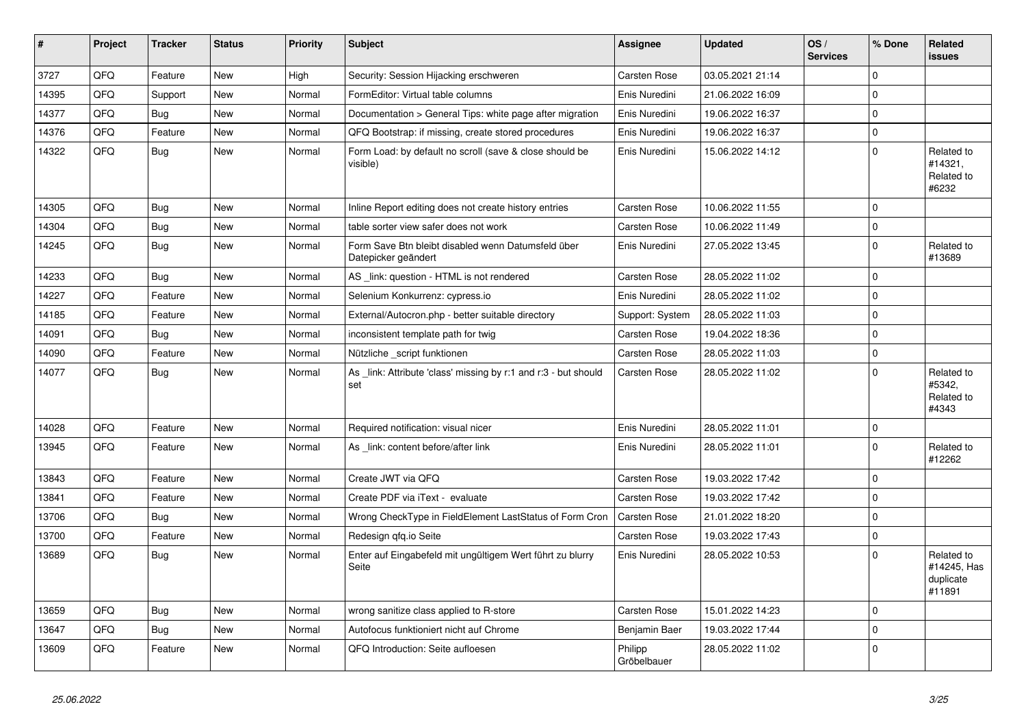| $\vert$ # | Project | <b>Tracker</b> | <b>Status</b> | <b>Priority</b> | <b>Subject</b>                                                            | Assignee               | <b>Updated</b>   | OS/<br><b>Services</b> | % Done   | <b>Related</b><br><b>issues</b>                  |
|-----------|---------|----------------|---------------|-----------------|---------------------------------------------------------------------------|------------------------|------------------|------------------------|----------|--------------------------------------------------|
| 3727      | QFQ     | Feature        | <b>New</b>    | High            | Security: Session Hijacking erschweren                                    | <b>Carsten Rose</b>    | 03.05.2021 21:14 |                        | $\Omega$ |                                                  |
| 14395     | QFQ     | Support        | <b>New</b>    | Normal          | FormEditor: Virtual table columns                                         | Enis Nuredini          | 21.06.2022 16:09 |                        | $\Omega$ |                                                  |
| 14377     | QFQ     | <b>Bug</b>     | <b>New</b>    | Normal          | Documentation > General Tips: white page after migration                  | Enis Nuredini          | 19.06.2022 16:37 |                        | $\Omega$ |                                                  |
| 14376     | QFQ     | Feature        | <b>New</b>    | Normal          | QFQ Bootstrap: if missing, create stored procedures                       | Enis Nuredini          | 19.06.2022 16:37 |                        | $\Omega$ |                                                  |
| 14322     | QFQ     | Bug            | New           | Normal          | Form Load: by default no scroll (save & close should be<br>visible)       | Enis Nuredini          | 15.06.2022 14:12 |                        | 0        | Related to<br>#14321.<br>Related to<br>#6232     |
| 14305     | QFQ     | Bug            | New           | Normal          | Inline Report editing does not create history entries                     | <b>Carsten Rose</b>    | 10.06.2022 11:55 |                        | $\Omega$ |                                                  |
| 14304     | QFQ     | Bug            | <b>New</b>    | Normal          | table sorter view safer does not work                                     | Carsten Rose           | 10.06.2022 11:49 |                        | $\Omega$ |                                                  |
| 14245     | QFQ     | Bug            | New           | Normal          | Form Save Btn bleibt disabled wenn Datumsfeld über<br>Datepicker geändert | Enis Nuredini          | 27.05.2022 13:45 |                        | 0        | Related to<br>#13689                             |
| 14233     | QFQ     | Bug            | <b>New</b>    | Normal          | AS _link: question - HTML is not rendered                                 | Carsten Rose           | 28.05.2022 11:02 |                        | $\Omega$ |                                                  |
| 14227     | QFQ     | Feature        | <b>New</b>    | Normal          | Selenium Konkurrenz: cypress.io                                           | Enis Nuredini          | 28.05.2022 11:02 |                        | 0        |                                                  |
| 14185     | QFQ     | Feature        | New           | Normal          | External/Autocron.php - better suitable directory                         | Support: System        | 28.05.2022 11:03 |                        | $\Omega$ |                                                  |
| 14091     | QFQ     | <b>Bug</b>     | <b>New</b>    | Normal          | inconsistent template path for twig                                       | Carsten Rose           | 19.04.2022 18:36 |                        | 0        |                                                  |
| 14090     | QFQ     | Feature        | <b>New</b>    | Normal          | Nützliche script funktionen                                               | <b>Carsten Rose</b>    | 28.05.2022 11:03 |                        | $\Omega$ |                                                  |
| 14077     | QFQ     | <b>Bug</b>     | New           | Normal          | As _link: Attribute 'class' missing by r:1 and r:3 - but should<br>set    | Carsten Rose           | 28.05.2022 11:02 |                        | $\Omega$ | Related to<br>#5342,<br>Related to<br>#4343      |
| 14028     | QFQ     | Feature        | <b>New</b>    | Normal          | Required notification: visual nicer                                       | Enis Nuredini          | 28.05.2022 11:01 |                        | 0        |                                                  |
| 13945     | QFQ     | Feature        | <b>New</b>    | Normal          | As link: content before/after link                                        | Enis Nuredini          | 28.05.2022 11:01 |                        | $\Omega$ | Related to<br>#12262                             |
| 13843     | QFQ     | Feature        | <b>New</b>    | Normal          | Create JWT via QFQ                                                        | Carsten Rose           | 19.03.2022 17:42 |                        | 0        |                                                  |
| 13841     | QFQ     | Feature        | <b>New</b>    | Normal          | Create PDF via iText - evaluate                                           | Carsten Rose           | 19.03.2022 17:42 |                        | $\Omega$ |                                                  |
| 13706     | QFQ     | <b>Bug</b>     | <b>New</b>    | Normal          | Wrong CheckType in FieldElement LastStatus of Form Cron                   | Carsten Rose           | 21.01.2022 18:20 |                        | 0        |                                                  |
| 13700     | QFQ     | Feature        | New           | Normal          | Redesign gfg.io Seite                                                     | Carsten Rose           | 19.03.2022 17:43 |                        | $\Omega$ |                                                  |
| 13689     | QFQ     | <b>Bug</b>     | <b>New</b>    | Normal          | Enter auf Eingabefeld mit ungültigem Wert führt zu blurry<br>Seite        | Enis Nuredini          | 28.05.2022 10:53 |                        | 0        | Related to<br>#14245, Has<br>duplicate<br>#11891 |
| 13659     | QFQ     | <b>Bug</b>     | <b>New</b>    | Normal          | wrong sanitize class applied to R-store                                   | Carsten Rose           | 15.01.2022 14:23 |                        | $\Omega$ |                                                  |
| 13647     | QFQ     | <b>Bug</b>     | <b>New</b>    | Normal          | Autofocus funktioniert nicht auf Chrome                                   | Benjamin Baer          | 19.03.2022 17:44 |                        | $\Omega$ |                                                  |
| 13609     | QFQ     | Feature        | New           | Normal          | QFQ Introduction: Seite aufloesen                                         | Philipp<br>Gröbelbauer | 28.05.2022 11:02 |                        | 0        |                                                  |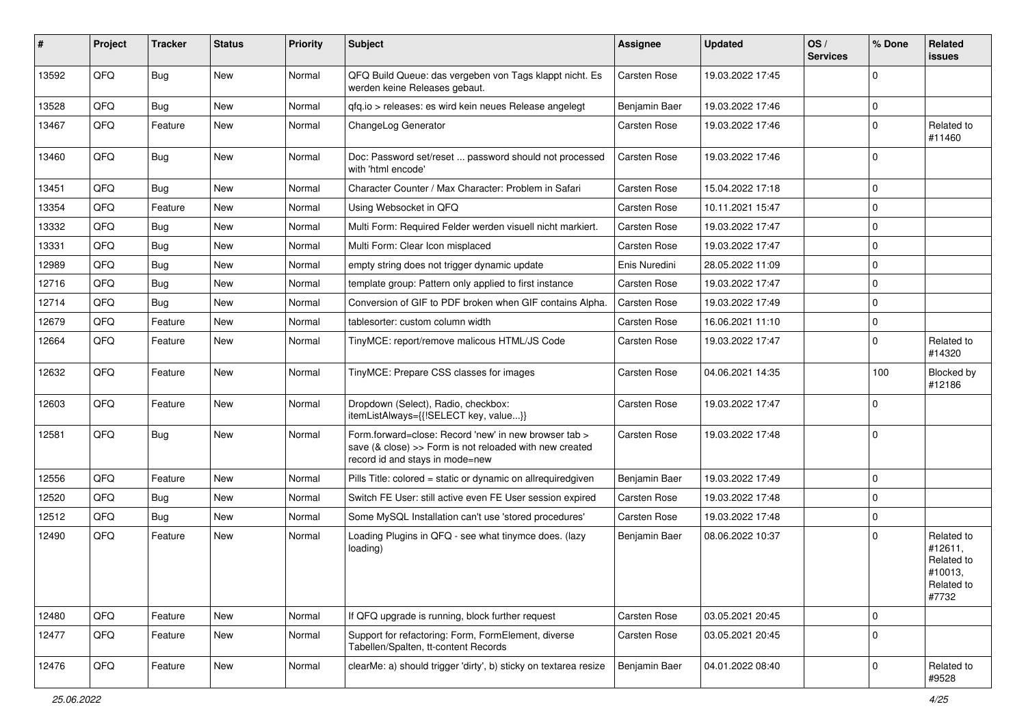| #     | Project | <b>Tracker</b> | <b>Status</b> | <b>Priority</b> | Subject                                                                                                                                             | Assignee      | <b>Updated</b>   | OS/<br><b>Services</b> | % Done      | Related<br><b>issues</b>                                              |
|-------|---------|----------------|---------------|-----------------|-----------------------------------------------------------------------------------------------------------------------------------------------------|---------------|------------------|------------------------|-------------|-----------------------------------------------------------------------|
| 13592 | QFQ     | <b>Bug</b>     | New           | Normal          | QFQ Build Queue: das vergeben von Tags klappt nicht. Es<br>werden keine Releases gebaut.                                                            | Carsten Rose  | 19.03.2022 17:45 |                        | $\Omega$    |                                                                       |
| 13528 | QFQ     | <b>Bug</b>     | New           | Normal          | qfq.io > releases: es wird kein neues Release angelegt                                                                                              | Benjamin Baer | 19.03.2022 17:46 |                        | $\mathbf 0$ |                                                                       |
| 13467 | QFQ     | Feature        | <b>New</b>    | Normal          | ChangeLog Generator                                                                                                                                 | Carsten Rose  | 19.03.2022 17:46 |                        | $\Omega$    | Related to<br>#11460                                                  |
| 13460 | QFQ     | Bug            | <b>New</b>    | Normal          | Doc: Password set/reset  password should not processed<br>with 'html encode'                                                                        | Carsten Rose  | 19.03.2022 17:46 |                        | $\mathbf 0$ |                                                                       |
| 13451 | QFQ     | Bug            | New           | Normal          | Character Counter / Max Character: Problem in Safari                                                                                                | Carsten Rose  | 15.04.2022 17:18 |                        | $\Omega$    |                                                                       |
| 13354 | QFQ     | Feature        | <b>New</b>    | Normal          | Using Websocket in QFQ                                                                                                                              | Carsten Rose  | 10.11.2021 15:47 |                        | $\mathbf 0$ |                                                                       |
| 13332 | QFQ     | <b>Bug</b>     | New           | Normal          | Multi Form: Required Felder werden visuell nicht markiert.                                                                                          | Carsten Rose  | 19.03.2022 17:47 |                        | $\mathbf 0$ |                                                                       |
| 13331 | QFQ     | <b>Bug</b>     | <b>New</b>    | Normal          | Multi Form: Clear Icon misplaced                                                                                                                    | Carsten Rose  | 19.03.2022 17:47 |                        | $\Omega$    |                                                                       |
| 12989 | QFQ     | Bug            | <b>New</b>    | Normal          | empty string does not trigger dynamic update                                                                                                        | Enis Nuredini | 28.05.2022 11:09 |                        | $\mathbf 0$ |                                                                       |
| 12716 | QFQ     | <b>Bug</b>     | New           | Normal          | template group: Pattern only applied to first instance                                                                                              | Carsten Rose  | 19.03.2022 17:47 |                        | $\mathbf 0$ |                                                                       |
| 12714 | QFQ     | <b>Bug</b>     | <b>New</b>    | Normal          | Conversion of GIF to PDF broken when GIF contains Alpha.                                                                                            | Carsten Rose  | 19.03.2022 17:49 |                        | $\Omega$    |                                                                       |
| 12679 | QFQ     | Feature        | New           | Normal          | tablesorter: custom column width                                                                                                                    | Carsten Rose  | 16.06.2021 11:10 |                        | $\mathbf 0$ |                                                                       |
| 12664 | QFQ     | Feature        | New           | Normal          | TinyMCE: report/remove malicous HTML/JS Code                                                                                                        | Carsten Rose  | 19.03.2022 17:47 |                        | $\Omega$    | Related to<br>#14320                                                  |
| 12632 | QFQ     | Feature        | New           | Normal          | TinyMCE: Prepare CSS classes for images                                                                                                             | Carsten Rose  | 04.06.2021 14:35 |                        | 100         | Blocked by<br>#12186                                                  |
| 12603 | QFQ     | Feature        | <b>New</b>    | Normal          | Dropdown (Select), Radio, checkbox:<br>itemListAlways={{!SELECT key, value}}                                                                        | Carsten Rose  | 19.03.2022 17:47 |                        | $\Omega$    |                                                                       |
| 12581 | QFQ     | Bug            | <b>New</b>    | Normal          | Form.forward=close: Record 'new' in new browser tab ><br>save (& close) >> Form is not reloaded with new created<br>record id and stays in mode=new | Carsten Rose  | 19.03.2022 17:48 |                        | $\mathbf 0$ |                                                                       |
| 12556 | QFQ     | Feature        | <b>New</b>    | Normal          | Pills Title: colored = static or dynamic on allrequiredgiven                                                                                        | Benjamin Baer | 19.03.2022 17:49 |                        | $\mathbf 0$ |                                                                       |
| 12520 | QFQ     | <b>Bug</b>     | New           | Normal          | Switch FE User: still active even FE User session expired                                                                                           | Carsten Rose  | 19.03.2022 17:48 |                        | $\mathbf 0$ |                                                                       |
| 12512 | QFQ     | <b>Bug</b>     | <b>New</b>    | Normal          | Some MySQL Installation can't use 'stored procedures'                                                                                               | Carsten Rose  | 19.03.2022 17:48 |                        | $\mathbf 0$ |                                                                       |
| 12490 | QFQ     | Feature        | New           | Normal          | Loading Plugins in QFQ - see what tinymce does. (lazy<br>loading)                                                                                   | Benjamin Baer | 08.06.2022 10:37 |                        | $\Omega$    | Related to<br>#12611,<br>Related to<br>#10013,<br>Related to<br>#7732 |
| 12480 | QFQ     | Feature        | New           | Normal          | If QFQ upgrade is running, block further request                                                                                                    | Carsten Rose  | 03.05.2021 20:45 |                        | $\mathbf 0$ |                                                                       |
| 12477 | QFQ     | Feature        | New           | Normal          | Support for refactoring: Form, FormElement, diverse<br>Tabellen/Spalten, tt-content Records                                                         | Carsten Rose  | 03.05.2021 20:45 |                        | $\Omega$    |                                                                       |
| 12476 | QFQ     | Feature        | New           | Normal          | clearMe: a) should trigger 'dirty', b) sticky on textarea resize                                                                                    | Benjamin Baer | 04.01.2022 08:40 |                        | 0           | Related to<br>#9528                                                   |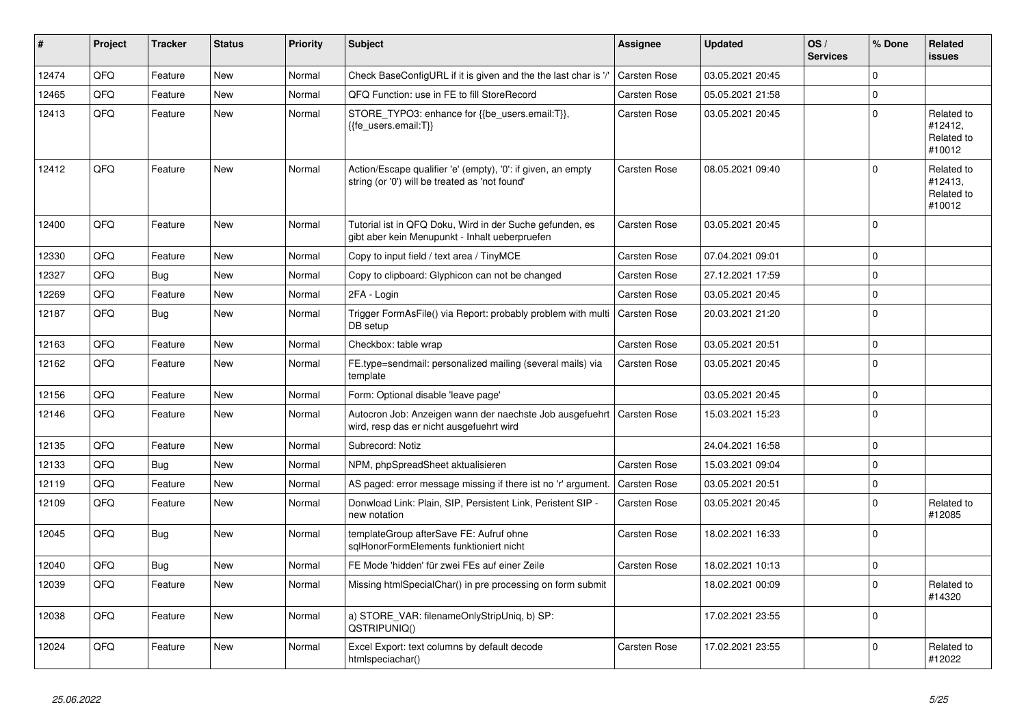| #     | Project | <b>Tracker</b> | <b>Status</b> | <b>Priority</b> | <b>Subject</b>                                                                                                 | <b>Assignee</b>     | <b>Updated</b>   | OS/<br><b>Services</b> | % Done   | Related<br><b>issues</b>                      |
|-------|---------|----------------|---------------|-----------------|----------------------------------------------------------------------------------------------------------------|---------------------|------------------|------------------------|----------|-----------------------------------------------|
| 12474 | QFQ     | Feature        | <b>New</b>    | Normal          | Check BaseConfigURL if it is given and the the last char is '/'                                                | <b>Carsten Rose</b> | 03.05.2021 20:45 |                        | $\Omega$ |                                               |
| 12465 | QFQ     | Feature        | <b>New</b>    | Normal          | QFQ Function: use in FE to fill StoreRecord                                                                    | Carsten Rose        | 05.05.2021 21:58 |                        | $\Omega$ |                                               |
| 12413 | QFQ     | Feature        | <b>New</b>    | Normal          | STORE_TYPO3: enhance for {{be_users.email:T}},<br>{{fe users.email:T}}                                         | Carsten Rose        | 03.05.2021 20:45 |                        | $\Omega$ | Related to<br>#12412,<br>Related to<br>#10012 |
| 12412 | QFQ     | Feature        | New           | Normal          | Action/Escape qualifier 'e' (empty), '0': if given, an empty<br>string (or '0') will be treated as 'not found' | Carsten Rose        | 08.05.2021 09:40 |                        | $\Omega$ | Related to<br>#12413,<br>Related to<br>#10012 |
| 12400 | QFQ     | Feature        | New           | Normal          | Tutorial ist in QFQ Doku, Wird in der Suche gefunden, es<br>gibt aber kein Menupunkt - Inhalt ueberpruefen     | <b>Carsten Rose</b> | 03.05.2021 20:45 |                        | 0        |                                               |
| 12330 | QFQ     | Feature        | <b>New</b>    | Normal          | Copy to input field / text area / TinyMCE                                                                      | Carsten Rose        | 07.04.2021 09:01 |                        | $\Omega$ |                                               |
| 12327 | QFQ     | Bug            | <b>New</b>    | Normal          | Copy to clipboard: Glyphicon can not be changed                                                                | <b>Carsten Rose</b> | 27.12.2021 17:59 |                        | $\Omega$ |                                               |
| 12269 | QFQ     | Feature        | New           | Normal          | 2FA - Login                                                                                                    | Carsten Rose        | 03.05.2021 20:45 |                        | $\Omega$ |                                               |
| 12187 | QFQ     | Bug            | New           | Normal          | Trigger FormAsFile() via Report: probably problem with multi<br>DB setup                                       | <b>Carsten Rose</b> | 20.03.2021 21:20 |                        | $\Omega$ |                                               |
| 12163 | QFQ     | Feature        | <b>New</b>    | Normal          | Checkbox: table wrap                                                                                           | Carsten Rose        | 03.05.2021 20:51 |                        | 0        |                                               |
| 12162 | QFQ     | Feature        | New           | Normal          | FE.type=sendmail: personalized mailing (several mails) via<br>template                                         | Carsten Rose        | 03.05.2021 20:45 |                        | $\Omega$ |                                               |
| 12156 | QFQ     | Feature        | <b>New</b>    | Normal          | Form: Optional disable 'leave page'                                                                            |                     | 03.05.2021 20:45 |                        | 0        |                                               |
| 12146 | QFQ     | Feature        | <b>New</b>    | Normal          | Autocron Job: Anzeigen wann der naechste Job ausgefuehrt<br>wird, resp das er nicht ausgefuehrt wird           | Carsten Rose        | 15.03.2021 15:23 |                        | $\Omega$ |                                               |
| 12135 | QFQ     | Feature        | <b>New</b>    | Normal          | Subrecord: Notiz                                                                                               |                     | 24.04.2021 16:58 |                        | 0        |                                               |
| 12133 | QFQ     | <b>Bug</b>     | New           | Normal          | NPM, phpSpreadSheet aktualisieren                                                                              | Carsten Rose        | 15.03.2021 09:04 |                        | $\Omega$ |                                               |
| 12119 | QFQ     | Feature        | New           | Normal          | AS paged: error message missing if there ist no 'r' argument.                                                  | Carsten Rose        | 03.05.2021 20:51 |                        | 0        |                                               |
| 12109 | QFQ     | Feature        | New           | Normal          | Donwload Link: Plain, SIP, Persistent Link, Peristent SIP -<br>new notation                                    | Carsten Rose        | 03.05.2021 20:45 |                        | $\Omega$ | Related to<br>#12085                          |
| 12045 | QFQ     | Bug            | New           | Normal          | templateGroup afterSave FE: Aufruf ohne<br>sglHonorFormElements funktioniert nicht                             | Carsten Rose        | 18.02.2021 16:33 |                        | $\Omega$ |                                               |
| 12040 | QFQ     | <b>Bug</b>     | <b>New</b>    | Normal          | FE Mode 'hidden' für zwei FEs auf einer Zeile                                                                  | Carsten Rose        | 18.02.2021 10:13 |                        | 0        |                                               |
| 12039 | QFQ     | Feature        | New           | Normal          | Missing htmlSpecialChar() in pre processing on form submit                                                     |                     | 18.02.2021 00:09 |                        | $\Omega$ | Related to<br>#14320                          |
| 12038 | QFQ     | Feature        | <b>New</b>    | Normal          | a) STORE_VAR: filenameOnlyStripUniq, b) SP:<br>QSTRIPUNIQ()                                                    |                     | 17.02.2021 23:55 |                        | 0        |                                               |
| 12024 | QFQ     | Feature        | New           | Normal          | Excel Export: text columns by default decode<br>htmlspeciachar()                                               | Carsten Rose        | 17.02.2021 23:55 |                        | $\Omega$ | Related to<br>#12022                          |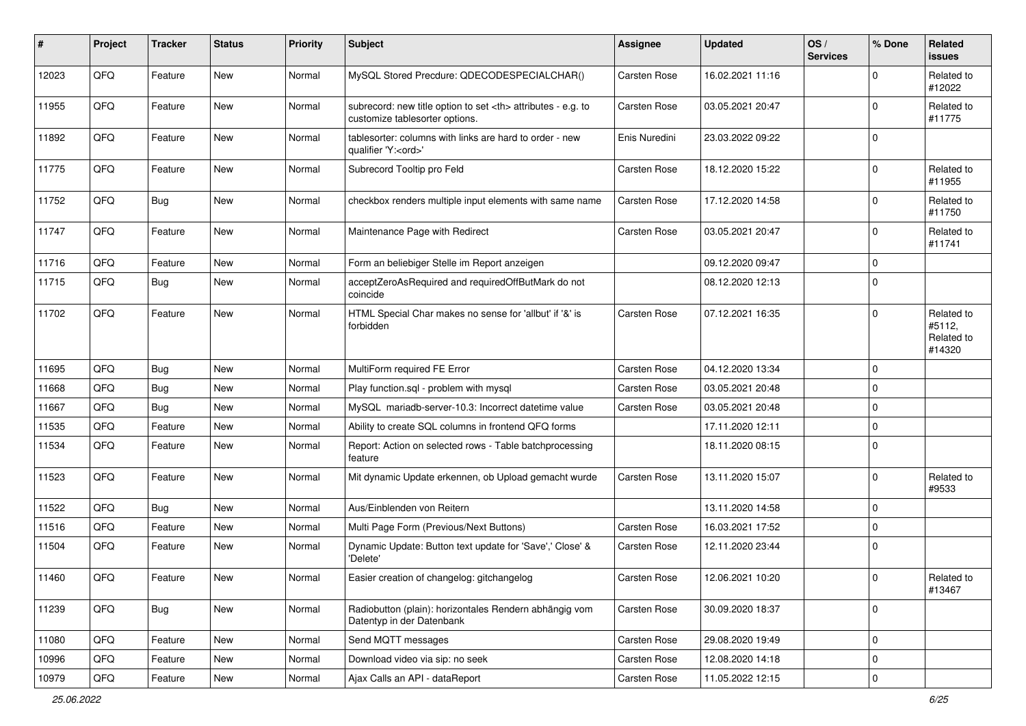| ∦     | Project | <b>Tracker</b> | <b>Status</b> | <b>Priority</b> | <b>Subject</b>                                                                                       | <b>Assignee</b>                                        | <b>Updated</b>   | OS/<br><b>Services</b> | % Done      | Related<br>issues                            |                      |
|-------|---------|----------------|---------------|-----------------|------------------------------------------------------------------------------------------------------|--------------------------------------------------------|------------------|------------------------|-------------|----------------------------------------------|----------------------|
| 12023 | QFQ     | Feature        | New           | Normal          | MySQL Stored Precdure: QDECODESPECIALCHAR()                                                          | Carsten Rose                                           | 16.02.2021 11:16 |                        | 0           | Related to<br>#12022                         |                      |
| 11955 | QFQ     | Feature        | New           | Normal          | subrecord: new title option to set <th> attributes - e.g. to<br/>customize tablesorter options.</th> | attributes - e.g. to<br>customize tablesorter options. | Carsten Rose     | 03.05.2021 20:47       |             | $\mathbf 0$                                  | Related to<br>#11775 |
| 11892 | QFQ     | Feature        | New           | Normal          | tablesorter: columns with links are hard to order - new<br>qualifier 'Y: <ord>'</ord>                | Enis Nuredini                                          | 23.03.2022 09:22 |                        | $\Omega$    |                                              |                      |
| 11775 | QFQ     | Feature        | New           | Normal          | Subrecord Tooltip pro Feld                                                                           | Carsten Rose                                           | 18.12.2020 15:22 |                        | 0           | Related to<br>#11955                         |                      |
| 11752 | QFQ     | Bug            | <b>New</b>    | Normal          | checkbox renders multiple input elements with same name                                              | Carsten Rose                                           | 17.12.2020 14:58 |                        | $\mathbf 0$ | Related to<br>#11750                         |                      |
| 11747 | QFQ     | Feature        | New           | Normal          | Maintenance Page with Redirect                                                                       | Carsten Rose                                           | 03.05.2021 20:47 |                        | $\mathbf 0$ | Related to<br>#11741                         |                      |
| 11716 | QFQ     | Feature        | <b>New</b>    | Normal          | Form an beliebiger Stelle im Report anzeigen                                                         |                                                        | 09.12.2020 09:47 |                        | 0           |                                              |                      |
| 11715 | QFQ     | Bug            | <b>New</b>    | Normal          | acceptZeroAsRequired and requiredOffButMark do not<br>coincide                                       |                                                        | 08.12.2020 12:13 |                        | $\mathbf 0$ |                                              |                      |
| 11702 | QFQ     | Feature        | New           | Normal          | HTML Special Char makes no sense for 'allbut' if '&' is<br>forbidden                                 | Carsten Rose                                           | 07.12.2021 16:35 |                        | $\Omega$    | Related to<br>#5112,<br>Related to<br>#14320 |                      |
| 11695 | QFQ     | Bug            | <b>New</b>    | Normal          | MultiForm required FE Error                                                                          | Carsten Rose                                           | 04.12.2020 13:34 |                        | $\mathbf 0$ |                                              |                      |
| 11668 | QFQ     | Bug            | New           | Normal          | Play function.sql - problem with mysql                                                               | Carsten Rose                                           | 03.05.2021 20:48 |                        | $\mathbf 0$ |                                              |                      |
| 11667 | QFQ     | Bug            | New           | Normal          | MySQL mariadb-server-10.3: Incorrect datetime value                                                  | Carsten Rose                                           | 03.05.2021 20:48 |                        | 0           |                                              |                      |
| 11535 | QFQ     | Feature        | <b>New</b>    | Normal          | Ability to create SQL columns in frontend QFQ forms                                                  |                                                        | 17.11.2020 12:11 |                        | $\mathbf 0$ |                                              |                      |
| 11534 | QFQ     | Feature        | <b>New</b>    | Normal          | Report: Action on selected rows - Table batchprocessing<br>feature                                   |                                                        | 18.11.2020 08:15 |                        | $\Omega$    |                                              |                      |
| 11523 | QFQ     | Feature        | New           | Normal          | Mit dynamic Update erkennen, ob Upload gemacht wurde                                                 | Carsten Rose                                           | 13.11.2020 15:07 |                        | 0           | Related to<br>#9533                          |                      |
| 11522 | QFQ     | Bug            | New           | Normal          | Aus/Einblenden von Reitern                                                                           |                                                        | 13.11.2020 14:58 |                        | $\mathbf 0$ |                                              |                      |
| 11516 | QFQ     | Feature        | <b>New</b>    | Normal          | Multi Page Form (Previous/Next Buttons)                                                              | Carsten Rose                                           | 16.03.2021 17:52 |                        | $\mathbf 0$ |                                              |                      |
| 11504 | QFQ     | Feature        | New           | Normal          | Dynamic Update: Button text update for 'Save',' Close' &<br>'Delete'                                 | Carsten Rose                                           | 12.11.2020 23:44 |                        | $\mathbf 0$ |                                              |                      |
| 11460 | QFG     | Feature        | New           | Normal          | Easier creation of changelog: gitchangelog                                                           | Carsten Rose                                           | 12.06.2021 10:20 |                        | $\pmb{0}$   | Related to<br>#13467                         |                      |
| 11239 | QFQ     | <b>Bug</b>     | New           | Normal          | Radiobutton (plain): horizontales Rendern abhängig vom<br>Datentyp in der Datenbank                  | Carsten Rose                                           | 30.09.2020 18:37 |                        | $\pmb{0}$   |                                              |                      |
| 11080 | QFQ     | Feature        | New           | Normal          | Send MQTT messages                                                                                   | Carsten Rose                                           | 29.08.2020 19:49 |                        | $\pmb{0}$   |                                              |                      |
| 10996 | QFO     | Feature        | <b>New</b>    | Normal          | Download video via sip: no seek                                                                      | Carsten Rose                                           | 12.08.2020 14:18 |                        | $\pmb{0}$   |                                              |                      |
| 10979 | QFQ     | Feature        | New           | Normal          | Ajax Calls an API - dataReport                                                                       | Carsten Rose                                           | 11.05.2022 12:15 |                        | $\pmb{0}$   |                                              |                      |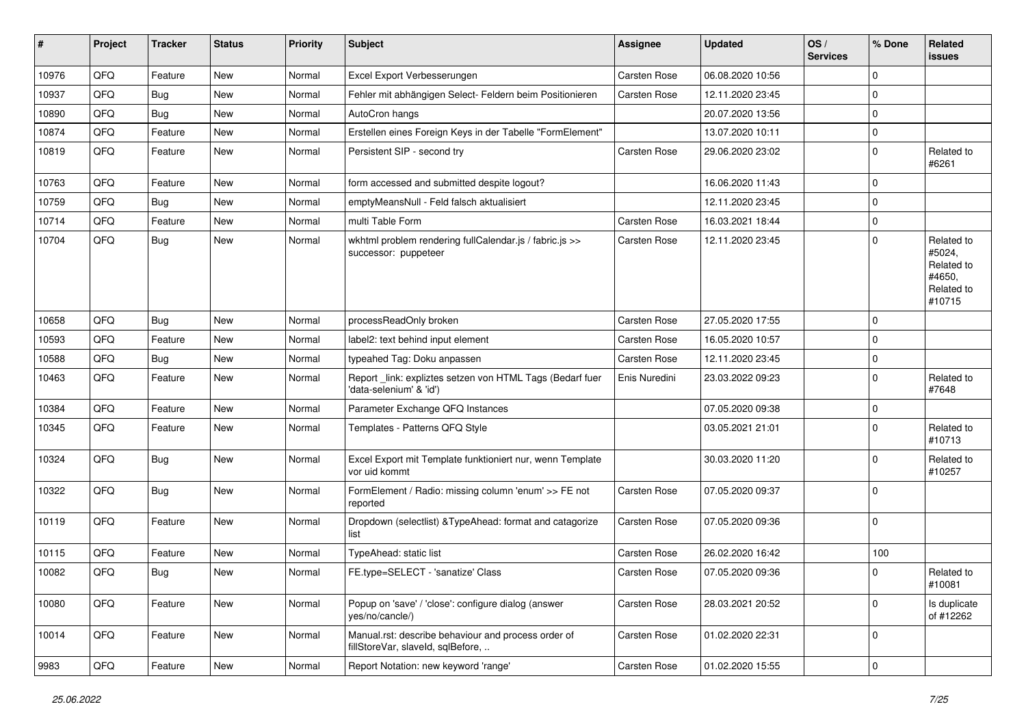| #     | Project | <b>Tracker</b> | <b>Status</b> | <b>Priority</b> | <b>Subject</b>                                                                           | <b>Assignee</b> | <b>Updated</b>   | OS/<br><b>Services</b> | % Done      | Related<br>issues                                                    |
|-------|---------|----------------|---------------|-----------------|------------------------------------------------------------------------------------------|-----------------|------------------|------------------------|-------------|----------------------------------------------------------------------|
| 10976 | QFQ     | Feature        | <b>New</b>    | Normal          | Excel Export Verbesserungen                                                              | Carsten Rose    | 06.08.2020 10:56 |                        | $\mathbf 0$ |                                                                      |
| 10937 | QFQ     | Bug            | <b>New</b>    | Normal          | Fehler mit abhängigen Select- Feldern beim Positionieren                                 | Carsten Rose    | 12.11.2020 23:45 |                        | $\mathbf 0$ |                                                                      |
| 10890 | QFQ     | <b>Bug</b>     | New           | Normal          | AutoCron hangs                                                                           |                 | 20.07.2020 13:56 |                        | $\mathbf 0$ |                                                                      |
| 10874 | QFQ     | Feature        | <b>New</b>    | Normal          | Erstellen eines Foreign Keys in der Tabelle "FormElement"                                |                 | 13.07.2020 10:11 |                        | 0           |                                                                      |
| 10819 | QFQ     | Feature        | New           | Normal          | Persistent SIP - second try                                                              | Carsten Rose    | 29.06.2020 23:02 |                        | $\mathbf 0$ | Related to<br>#6261                                                  |
| 10763 | QFQ     | Feature        | New           | Normal          | form accessed and submitted despite logout?                                              |                 | 16.06.2020 11:43 |                        | 0           |                                                                      |
| 10759 | QFQ     | <b>Bug</b>     | <b>New</b>    | Normal          | emptyMeansNull - Feld falsch aktualisiert                                                |                 | 12.11.2020 23:45 |                        | $\Omega$    |                                                                      |
| 10714 | QFQ     | Feature        | <b>New</b>    | Normal          | multi Table Form                                                                         | Carsten Rose    | 16.03.2021 18:44 |                        | 0           |                                                                      |
| 10704 | QFQ     | Bug            | <b>New</b>    | Normal          | wkhtml problem rendering fullCalendar.js / fabric.js >><br>successor: puppeteer          | Carsten Rose    | 12.11.2020 23:45 |                        | $\Omega$    | Related to<br>#5024,<br>Related to<br>#4650,<br>Related to<br>#10715 |
| 10658 | QFQ     | Bug            | <b>New</b>    | Normal          | processReadOnly broken                                                                   | Carsten Rose    | 27.05.2020 17:55 |                        | $\Omega$    |                                                                      |
| 10593 | QFQ     | Feature        | <b>New</b>    | Normal          | label2: text behind input element                                                        | Carsten Rose    | 16.05.2020 10:57 |                        | $\mathbf 0$ |                                                                      |
| 10588 | QFQ     | <b>Bug</b>     | New           | Normal          | typeahed Tag: Doku anpassen                                                              | Carsten Rose    | 12.11.2020 23:45 |                        | 0           |                                                                      |
| 10463 | QFQ     | Feature        | New           | Normal          | Report_link: expliztes setzen von HTML Tags (Bedarf fuer<br>'data-selenium' & 'id')      | Enis Nuredini   | 23.03.2022 09:23 |                        | $\mathbf 0$ | Related to<br>#7648                                                  |
| 10384 | QFQ     | Feature        | <b>New</b>    | Normal          | Parameter Exchange QFQ Instances                                                         |                 | 07.05.2020 09:38 |                        | 0           |                                                                      |
| 10345 | QFQ     | Feature        | New           | Normal          | Templates - Patterns QFQ Style                                                           |                 | 03.05.2021 21:01 |                        | $\Omega$    | Related to<br>#10713                                                 |
| 10324 | QFQ     | Bug            | New           | Normal          | Excel Export mit Template funktioniert nur, wenn Template<br>vor uid kommt               |                 | 30.03.2020 11:20 |                        | $\mathbf 0$ | Related to<br>#10257                                                 |
| 10322 | QFQ     | Bug            | New           | Normal          | FormElement / Radio: missing column 'enum' >> FE not<br>reported                         | Carsten Rose    | 07.05.2020 09:37 |                        | $\Omega$    |                                                                      |
| 10119 | QFQ     | Feature        | <b>New</b>    | Normal          | Dropdown (selectlist) & TypeAhead: format and catagorize<br>list                         | Carsten Rose    | 07.05.2020 09:36 |                        | $\Omega$    |                                                                      |
| 10115 | QFQ     | Feature        | <b>New</b>    | Normal          | TypeAhead: static list                                                                   | Carsten Rose    | 26.02.2020 16:42 |                        | 100         |                                                                      |
| 10082 | QFQ     | Bug            | <b>New</b>    | Normal          | FE.type=SELECT - 'sanatize' Class                                                        | Carsten Rose    | 07.05.2020 09:36 |                        | $\Omega$    | Related to<br>#10081                                                 |
| 10080 | QFQ     | Feature        | New           | Normal          | Popup on 'save' / 'close': configure dialog (answer<br>yes/no/cancle/)                   | Carsten Rose    | 28.03.2021 20:52 |                        | 0           | Is duplicate<br>of #12262                                            |
| 10014 | QFQ     | Feature        | New           | Normal          | Manual.rst: describe behaviour and process order of<br>fillStoreVar, slaveId, sqlBefore, | Carsten Rose    | 01.02.2020 22:31 |                        | 0           |                                                                      |
| 9983  | QFQ     | Feature        | New           | Normal          | Report Notation: new keyword 'range'                                                     | Carsten Rose    | 01.02.2020 15:55 |                        | $\pmb{0}$   |                                                                      |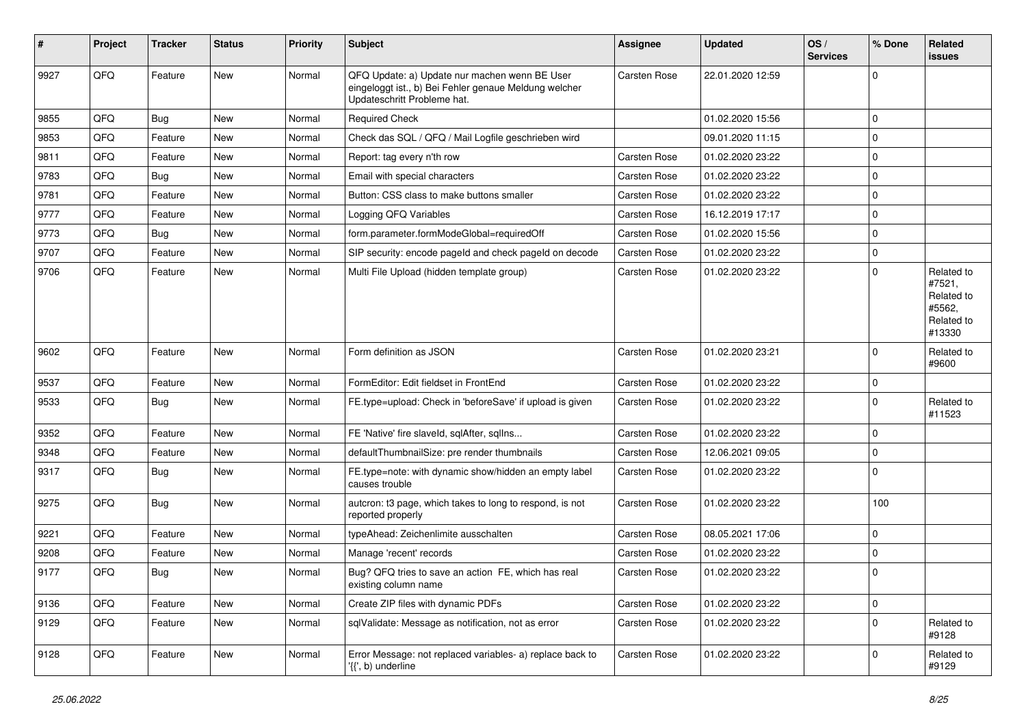| ∦    | Project | <b>Tracker</b> | <b>Status</b> | <b>Priority</b> | <b>Subject</b>                                                                                                                        | Assignee     | <b>Updated</b>   | OS/<br><b>Services</b> | % Done      | Related<br><b>issues</b>                                             |
|------|---------|----------------|---------------|-----------------|---------------------------------------------------------------------------------------------------------------------------------------|--------------|------------------|------------------------|-------------|----------------------------------------------------------------------|
| 9927 | QFQ     | Feature        | New           | Normal          | QFQ Update: a) Update nur machen wenn BE User<br>eingeloggt ist., b) Bei Fehler genaue Meldung welcher<br>Updateschritt Probleme hat. | Carsten Rose | 22.01.2020 12:59 |                        | 0           |                                                                      |
| 9855 | QFQ     | Bug            | <b>New</b>    | Normal          | <b>Required Check</b>                                                                                                                 |              | 01.02.2020 15:56 |                        | 0           |                                                                      |
| 9853 | QFQ     | Feature        | <b>New</b>    | Normal          | Check das SQL / QFQ / Mail Logfile geschrieben wird                                                                                   |              | 09.01.2020 11:15 |                        | $\mathbf 0$ |                                                                      |
| 9811 | QFQ     | Feature        | New           | Normal          | Report: tag every n'th row                                                                                                            | Carsten Rose | 01.02.2020 23:22 |                        | $\mathbf 0$ |                                                                      |
| 9783 | QFQ     | <b>Bug</b>     | <b>New</b>    | Normal          | Email with special characters                                                                                                         | Carsten Rose | 01.02.2020 23:22 |                        | $\mathbf 0$ |                                                                      |
| 9781 | QFQ     | Feature        | New           | Normal          | Button: CSS class to make buttons smaller                                                                                             | Carsten Rose | 01.02.2020 23:22 |                        | $\mathbf 0$ |                                                                      |
| 9777 | QFQ     | Feature        | New           | Normal          | Logging QFQ Variables                                                                                                                 | Carsten Rose | 16.12.2019 17:17 |                        | $\mathbf 0$ |                                                                      |
| 9773 | QFQ     | <b>Bug</b>     | <b>New</b>    | Normal          | form.parameter.formModeGlobal=requiredOff                                                                                             | Carsten Rose | 01.02.2020 15:56 |                        | $\mathbf 0$ |                                                                      |
| 9707 | QFQ     | Feature        | New           | Normal          | SIP security: encode pageld and check pageld on decode                                                                                | Carsten Rose | 01.02.2020 23:22 |                        | $\mathbf 0$ |                                                                      |
| 9706 | QFQ     | Feature        | <b>New</b>    | Normal          | Multi File Upload (hidden template group)                                                                                             | Carsten Rose | 01.02.2020 23:22 |                        | $\mathbf 0$ | Related to<br>#7521,<br>Related to<br>#5562,<br>Related to<br>#13330 |
| 9602 | QFQ     | Feature        | <b>New</b>    | Normal          | Form definition as JSON                                                                                                               | Carsten Rose | 01.02.2020 23:21 |                        | $\mathbf 0$ | Related to<br>#9600                                                  |
| 9537 | QFQ     | Feature        | New           | Normal          | FormEditor: Edit fieldset in FrontEnd                                                                                                 | Carsten Rose | 01.02.2020 23:22 |                        | $\mathbf 0$ |                                                                      |
| 9533 | QFQ     | <b>Bug</b>     | <b>New</b>    | Normal          | FE.type=upload: Check in 'beforeSave' if upload is given                                                                              | Carsten Rose | 01.02.2020 23:22 |                        | 0           | Related to<br>#11523                                                 |
| 9352 | QFQ     | Feature        | <b>New</b>    | Normal          | FE 'Native' fire slaveld, sqlAfter, sqlIns                                                                                            | Carsten Rose | 01.02.2020 23:22 |                        | $\mathbf 0$ |                                                                      |
| 9348 | QFQ     | Feature        | New           | Normal          | defaultThumbnailSize: pre render thumbnails                                                                                           | Carsten Rose | 12.06.2021 09:05 |                        | $\mathbf 0$ |                                                                      |
| 9317 | QFQ     | Bug            | New           | Normal          | FE.type=note: with dynamic show/hidden an empty label<br>causes trouble                                                               | Carsten Rose | 01.02.2020 23:22 |                        | 0           |                                                                      |
| 9275 | QFQ     | Bug            | <b>New</b>    | Normal          | autcron: t3 page, which takes to long to respond, is not<br>reported properly                                                         | Carsten Rose | 01.02.2020 23:22 |                        | 100         |                                                                      |
| 9221 | QFQ     | Feature        | <b>New</b>    | Normal          | typeAhead: Zeichenlimite ausschalten                                                                                                  | Carsten Rose | 08.05.2021 17:06 |                        | $\mathbf 0$ |                                                                      |
| 9208 | QFQ     | Feature        | <b>New</b>    | Normal          | Manage 'recent' records                                                                                                               | Carsten Rose | 01.02.2020 23:22 |                        | $\mathbf 0$ |                                                                      |
| 9177 | QFQ     | Bug            | <b>New</b>    | Normal          | Bug? QFQ tries to save an action FE, which has real<br>existing column name                                                           | Carsten Rose | 01.02.2020 23:22 |                        | $\mathbf 0$ |                                                                      |
| 9136 | QFQ     | Feature        | New           | Normal          | Create ZIP files with dynamic PDFs                                                                                                    | Carsten Rose | 01.02.2020 23:22 |                        | $\pmb{0}$   |                                                                      |
| 9129 | QFQ     | Feature        | New           | Normal          | sqlValidate: Message as notification, not as error                                                                                    | Carsten Rose | 01.02.2020 23:22 |                        | $\mathbf 0$ | Related to<br>#9128                                                  |
| 9128 | QFQ     | Feature        | New           | Normal          | Error Message: not replaced variables- a) replace back to<br>'{{', b) underline                                                       | Carsten Rose | 01.02.2020 23:22 |                        | $\mathbf 0$ | Related to<br>#9129                                                  |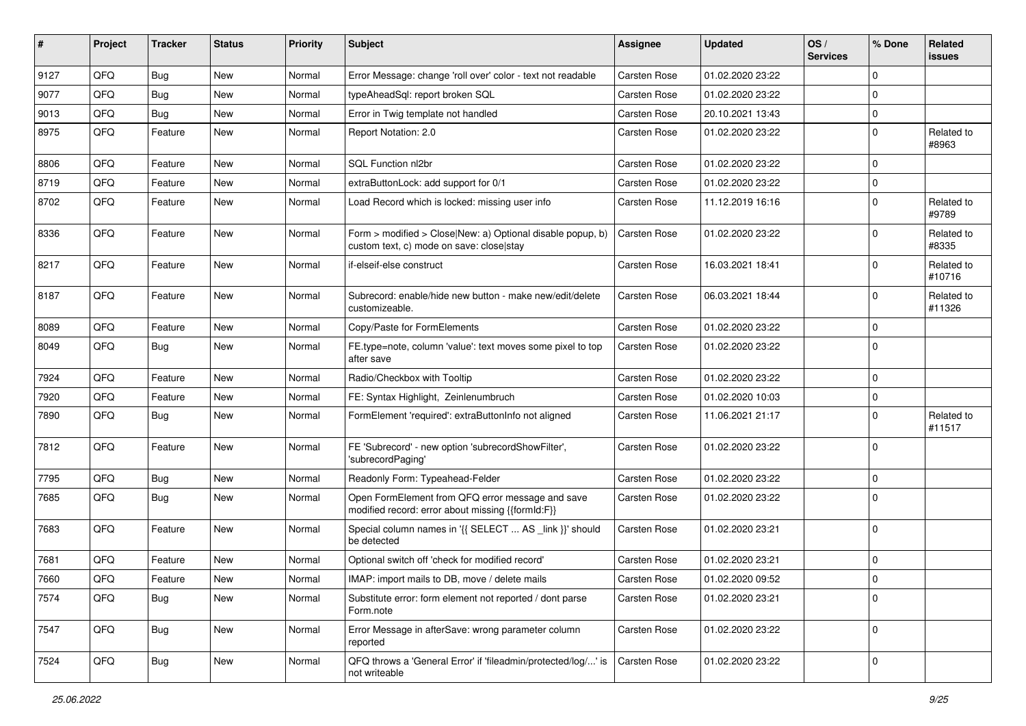| ∦    | Project | <b>Tracker</b> | <b>Status</b> | <b>Priority</b> | Subject                                                                                                | <b>Assignee</b>     | <b>Updated</b>   | OS/<br><b>Services</b> | % Done      | Related<br>issues    |
|------|---------|----------------|---------------|-----------------|--------------------------------------------------------------------------------------------------------|---------------------|------------------|------------------------|-------------|----------------------|
| 9127 | QFQ     | Bug            | <b>New</b>    | Normal          | Error Message: change 'roll over' color - text not readable                                            | <b>Carsten Rose</b> | 01.02.2020 23:22 |                        | $\mathbf 0$ |                      |
| 9077 | QFQ     | Bug            | <b>New</b>    | Normal          | typeAheadSql: report broken SQL                                                                        | Carsten Rose        | 01.02.2020 23:22 |                        | 0           |                      |
| 9013 | QFQ     | <b>Bug</b>     | <b>New</b>    | Normal          | Error in Twig template not handled                                                                     | Carsten Rose        | 20.10.2021 13:43 |                        | $\mathbf 0$ |                      |
| 8975 | QFQ     | Feature        | <b>New</b>    | Normal          | Report Notation: 2.0                                                                                   | Carsten Rose        | 01.02.2020 23:22 |                        | $\Omega$    | Related to<br>#8963  |
| 8806 | QFQ     | Feature        | New           | Normal          | SQL Function nl2br                                                                                     | Carsten Rose        | 01.02.2020 23:22 |                        | $\Omega$    |                      |
| 8719 | QFQ     | Feature        | <b>New</b>    | Normal          | extraButtonLock: add support for 0/1                                                                   | Carsten Rose        | 01.02.2020 23:22 |                        | 0           |                      |
| 8702 | QFQ     | Feature        | <b>New</b>    | Normal          | Load Record which is locked: missing user info                                                         | Carsten Rose        | 11.12.2019 16:16 |                        | $\Omega$    | Related to<br>#9789  |
| 8336 | QFQ     | Feature        | <b>New</b>    | Normal          | Form > modified > Close New: a) Optional disable popup, b)<br>custom text, c) mode on save: close stay | Carsten Rose        | 01.02.2020 23:22 |                        | $\Omega$    | Related to<br>#8335  |
| 8217 | QFQ     | Feature        | <b>New</b>    | Normal          | if-elseif-else construct                                                                               | Carsten Rose        | 16.03.2021 18:41 |                        | $\Omega$    | Related to<br>#10716 |
| 8187 | QFQ     | Feature        | New           | Normal          | Subrecord: enable/hide new button - make new/edit/delete<br>customizeable.                             | Carsten Rose        | 06.03.2021 18:44 |                        | $\mathbf 0$ | Related to<br>#11326 |
| 8089 | QFQ     | Feature        | <b>New</b>    | Normal          | Copy/Paste for FormElements                                                                            | Carsten Rose        | 01.02.2020 23:22 |                        | $\mathbf 0$ |                      |
| 8049 | QFQ     | <b>Bug</b>     | <b>New</b>    | Normal          | FE.type=note, column 'value': text moves some pixel to top<br>after save                               | Carsten Rose        | 01.02.2020 23:22 |                        | $\Omega$    |                      |
| 7924 | QFQ     | Feature        | <b>New</b>    | Normal          | Radio/Checkbox with Tooltip                                                                            | Carsten Rose        | 01.02.2020 23:22 |                        | 0           |                      |
| 7920 | QFQ     | Feature        | <b>New</b>    | Normal          | FE: Syntax Highlight, Zeinlenumbruch                                                                   | Carsten Rose        | 01.02.2020 10:03 |                        | $\mathbf 0$ |                      |
| 7890 | QFQ     | <b>Bug</b>     | <b>New</b>    | Normal          | FormElement 'required': extraButtonInfo not aligned                                                    | Carsten Rose        | 11.06.2021 21:17 |                        | $\Omega$    | Related to<br>#11517 |
| 7812 | QFQ     | Feature        | New           | Normal          | FE 'Subrecord' - new option 'subrecordShowFilter',<br>'subrecordPaging'                                | Carsten Rose        | 01.02.2020 23:22 |                        | $\Omega$    |                      |
| 7795 | QFQ     | <b>Bug</b>     | <b>New</b>    | Normal          | Readonly Form: Typeahead-Felder                                                                        | Carsten Rose        | 01.02.2020 23:22 |                        | $\pmb{0}$   |                      |
| 7685 | QFQ     | <b>Bug</b>     | <b>New</b>    | Normal          | Open FormElement from QFQ error message and save<br>modified record: error about missing {{formId:F}}  | Carsten Rose        | 01.02.2020 23:22 |                        | $\Omega$    |                      |
| 7683 | QFQ     | Feature        | <b>New</b>    | Normal          | Special column names in '{{ SELECT  AS _link }}' should<br>be detected                                 | Carsten Rose        | 01.02.2020 23:21 |                        | $\mathbf 0$ |                      |
| 7681 | QFQ     | Feature        | <b>New</b>    | Normal          | Optional switch off 'check for modified record'                                                        | Carsten Rose        | 01.02.2020 23:21 |                        | $\mathbf 0$ |                      |
| 7660 | QFQ     | Feature        | New           | Normal          | IMAP: import mails to DB, move / delete mails                                                          | Carsten Rose        | 01.02.2020 09:52 |                        | 0           |                      |
| 7574 | QFQ     | Bug            | New           | Normal          | Substitute error: form element not reported / dont parse<br>Form.note                                  | Carsten Rose        | 01.02.2020 23:21 |                        | $\mathbf 0$ |                      |
| 7547 | QFQ     | <b>Bug</b>     | New           | Normal          | Error Message in afterSave: wrong parameter column<br>reported                                         | Carsten Rose        | 01.02.2020 23:22 |                        | 0           |                      |
| 7524 | QFQ     | <b>Bug</b>     | New           | Normal          | QFQ throws a 'General Error' if 'fileadmin/protected/log/' is<br>not writeable                         | <b>Carsten Rose</b> | 01.02.2020 23:22 |                        | $\pmb{0}$   |                      |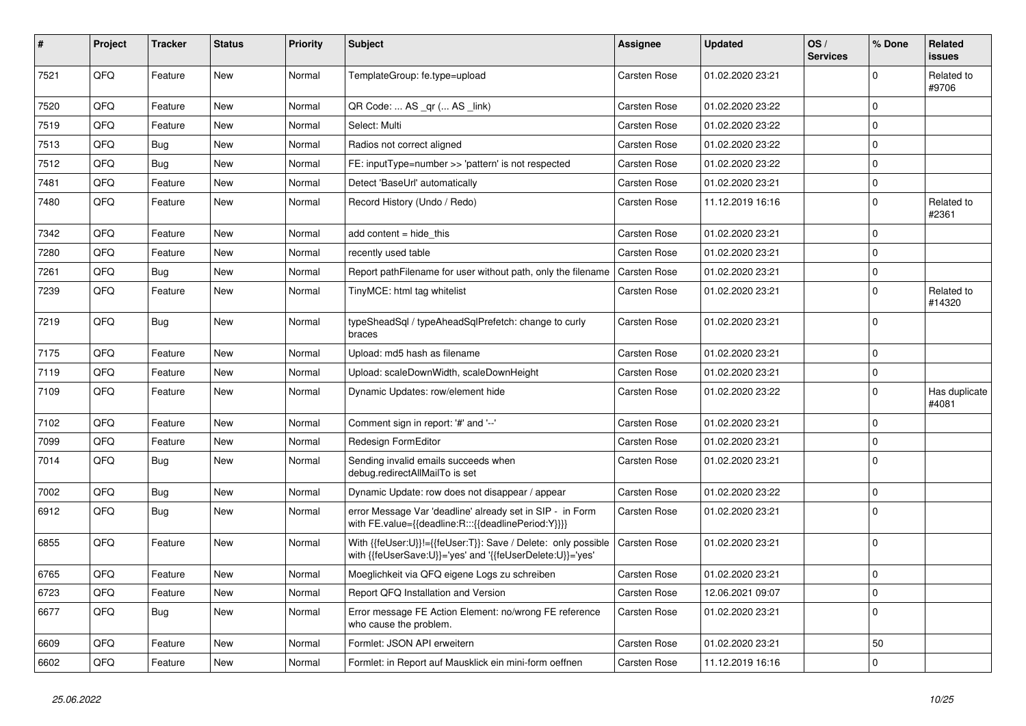| #    | Project | <b>Tracker</b> | <b>Status</b> | <b>Priority</b> | <b>Subject</b>                                                                                                             | <b>Assignee</b> | <b>Updated</b>   | OS/<br><b>Services</b> | % Done      | Related<br><b>issues</b> |
|------|---------|----------------|---------------|-----------------|----------------------------------------------------------------------------------------------------------------------------|-----------------|------------------|------------------------|-------------|--------------------------|
| 7521 | QFQ     | Feature        | New           | Normal          | TemplateGroup: fe.type=upload                                                                                              | Carsten Rose    | 01.02.2020 23:21 |                        | $\mathbf 0$ | Related to<br>#9706      |
| 7520 | QFQ     | Feature        | <b>New</b>    | Normal          | QR Code:  AS _qr ( AS _link)                                                                                               | Carsten Rose    | 01.02.2020 23:22 |                        | $\mathbf 0$ |                          |
| 7519 | QFQ     | Feature        | <b>New</b>    | Normal          | Select: Multi                                                                                                              | Carsten Rose    | 01.02.2020 23:22 |                        | $\mathbf 0$ |                          |
| 7513 | QFQ     | <b>Bug</b>     | <b>New</b>    | Normal          | Radios not correct aligned                                                                                                 | Carsten Rose    | 01.02.2020 23:22 |                        | $\mathbf 0$ |                          |
| 7512 | QFQ     | Bug            | <b>New</b>    | Normal          | FE: inputType=number >> 'pattern' is not respected                                                                         | Carsten Rose    | 01.02.2020 23:22 |                        | $\mathbf 0$ |                          |
| 7481 | QFQ     | Feature        | New           | Normal          | Detect 'BaseUrl' automatically                                                                                             | Carsten Rose    | 01.02.2020 23:21 |                        | $\pmb{0}$   |                          |
| 7480 | QFQ     | Feature        | New           | Normal          | Record History (Undo / Redo)                                                                                               | Carsten Rose    | 11.12.2019 16:16 |                        | $\pmb{0}$   | Related to<br>#2361      |
| 7342 | QFQ     | Feature        | New           | Normal          | add content = hide_this                                                                                                    | Carsten Rose    | 01.02.2020 23:21 |                        | $\pmb{0}$   |                          |
| 7280 | QFQ     | Feature        | New           | Normal          | recently used table                                                                                                        | Carsten Rose    | 01.02.2020 23:21 |                        | $\Omega$    |                          |
| 7261 | QFQ     | <b>Bug</b>     | New           | Normal          | Report pathFilename for user without path, only the filename                                                               | Carsten Rose    | 01.02.2020 23:21 |                        | $\mathbf 0$ |                          |
| 7239 | QFQ     | Feature        | New           | Normal          | TinyMCE: html tag whitelist                                                                                                | Carsten Rose    | 01.02.2020 23:21 |                        | $\mathbf 0$ | Related to<br>#14320     |
| 7219 | QFQ     | Bug            | New           | Normal          | typeSheadSql / typeAheadSqlPrefetch: change to curly<br>braces                                                             | Carsten Rose    | 01.02.2020 23:21 |                        | $\mathbf 0$ |                          |
| 7175 | QFQ     | Feature        | New           | Normal          | Upload: md5 hash as filename                                                                                               | Carsten Rose    | 01.02.2020 23:21 |                        | $\mathbf 0$ |                          |
| 7119 | QFQ     | Feature        | New           | Normal          | Upload: scaleDownWidth, scaleDownHeight                                                                                    | Carsten Rose    | 01.02.2020 23:21 |                        | $\mathbf 0$ |                          |
| 7109 | QFQ     | Feature        | New           | Normal          | Dynamic Updates: row/element hide                                                                                          | Carsten Rose    | 01.02.2020 23:22 |                        | $\mathbf 0$ | Has duplicate<br>#4081   |
| 7102 | QFQ     | Feature        | New           | Normal          | Comment sign in report: '#' and '--'                                                                                       | Carsten Rose    | 01.02.2020 23:21 |                        | $\mathbf 0$ |                          |
| 7099 | QFQ     | Feature        | New           | Normal          | Redesign FormEditor                                                                                                        | Carsten Rose    | 01.02.2020 23:21 |                        | $\pmb{0}$   |                          |
| 7014 | QFQ     | <b>Bug</b>     | <b>New</b>    | Normal          | Sending invalid emails succeeds when<br>debug.redirectAllMailTo is set                                                     | Carsten Rose    | 01.02.2020 23:21 |                        | $\mathbf 0$ |                          |
| 7002 | QFQ     | Bug            | <b>New</b>    | Normal          | Dynamic Update: row does not disappear / appear                                                                            | Carsten Rose    | 01.02.2020 23:22 |                        | $\mathbf 0$ |                          |
| 6912 | QFQ     | Bug            | <b>New</b>    | Normal          | error Message Var 'deadline' already set in SIP - in Form<br>with FE.value={{deadline:R:::{{deadlinePeriod:Y}}}}           | Carsten Rose    | 01.02.2020 23:21 |                        | $\Omega$    |                          |
| 6855 | QFQ     | Feature        | New           | Normal          | With {{feUser:U}}!={{feUser:T}}: Save / Delete: only possible<br>with {{feUserSave:U}}='yes' and '{{feUserDelete:U}}='yes' | Carsten Rose    | 01.02.2020 23:21 |                        | $\mathbf 0$ |                          |
| 6765 | QFQ     | Feature        | New           | Normal          | Moeglichkeit via QFQ eigene Logs zu schreiben                                                                              | Carsten Rose    | 01.02.2020 23:21 |                        | $\pmb{0}$   |                          |
| 6723 | QFQ     | Feature        | <b>New</b>    | Normal          | Report QFQ Installation and Version                                                                                        | Carsten Rose    | 12.06.2021 09:07 |                        | $\pmb{0}$   |                          |
| 6677 | QFQ     | <b>Bug</b>     | New           | Normal          | Error message FE Action Element: no/wrong FE reference<br>who cause the problem.                                           | Carsten Rose    | 01.02.2020 23:21 |                        | $\mathbf 0$ |                          |
| 6609 | QFQ     | Feature        | <b>New</b>    | Normal          | Formlet: JSON API erweitern                                                                                                | Carsten Rose    | 01.02.2020 23:21 |                        | 50          |                          |
| 6602 | QFQ     | Feature        | <b>New</b>    | Normal          | Formlet: in Report auf Mausklick ein mini-form oeffnen                                                                     | Carsten Rose    | 11.12.2019 16:16 |                        | $\mathbf 0$ |                          |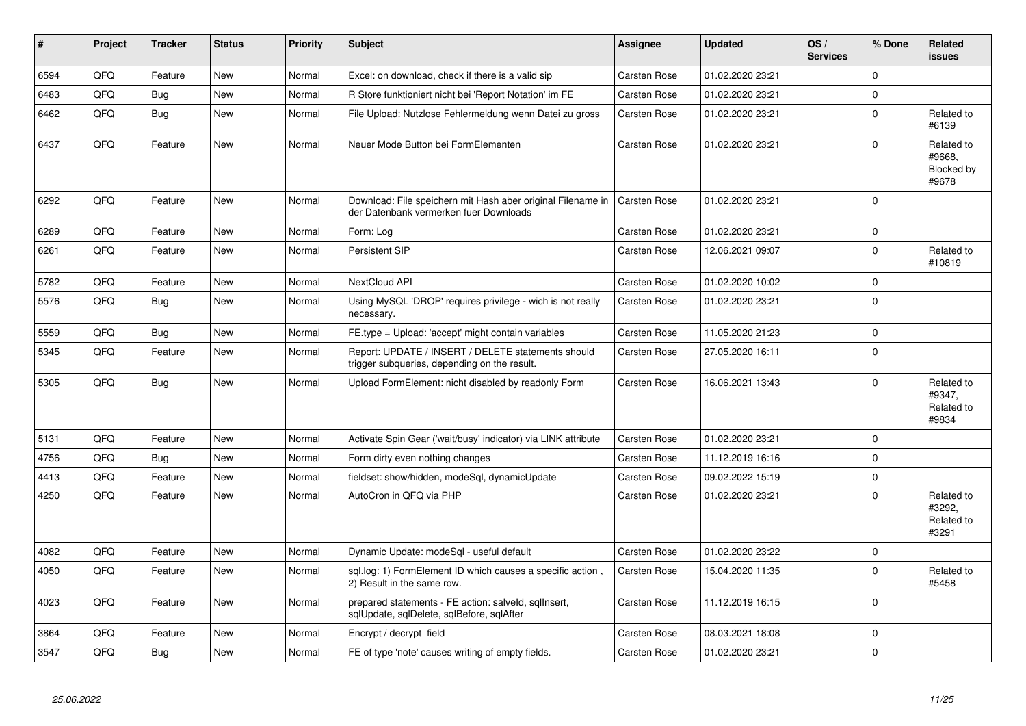| #    | Project | <b>Tracker</b> | <b>Status</b> | <b>Priority</b> | <b>Subject</b>                                                                                        | <b>Assignee</b>     | <b>Updated</b>   | OS/<br><b>Services</b> | % Done      | Related<br><b>issues</b>                    |
|------|---------|----------------|---------------|-----------------|-------------------------------------------------------------------------------------------------------|---------------------|------------------|------------------------|-------------|---------------------------------------------|
| 6594 | QFQ     | Feature        | <b>New</b>    | Normal          | Excel: on download, check if there is a valid sip                                                     | Carsten Rose        | 01.02.2020 23:21 |                        | $\mathbf 0$ |                                             |
| 6483 | QFQ     | Bug            | <b>New</b>    | Normal          | R Store funktioniert nicht bei 'Report Notation' im FE                                                | Carsten Rose        | 01.02.2020 23:21 |                        | $\Omega$    |                                             |
| 6462 | QFQ     | Bug            | New           | Normal          | File Upload: Nutzlose Fehlermeldung wenn Datei zu gross                                               | Carsten Rose        | 01.02.2020 23:21 |                        | $\mathsf 0$ | Related to<br>#6139                         |
| 6437 | QFQ     | Feature        | <b>New</b>    | Normal          | Neuer Mode Button bei FormElementen                                                                   | Carsten Rose        | 01.02.2020 23:21 |                        | $\Omega$    | Related to<br>#9668,<br>Blocked by<br>#9678 |
| 6292 | QFQ     | Feature        | <b>New</b>    | Normal          | Download: File speichern mit Hash aber original Filename in<br>der Datenbank vermerken fuer Downloads | <b>Carsten Rose</b> | 01.02.2020 23:21 |                        | $\Omega$    |                                             |
| 6289 | QFQ     | Feature        | <b>New</b>    | Normal          | Form: Log                                                                                             | Carsten Rose        | 01.02.2020 23:21 |                        | 0           |                                             |
| 6261 | QFQ     | Feature        | <b>New</b>    | Normal          | Persistent SIP                                                                                        | Carsten Rose        | 12.06.2021 09:07 |                        | $\mathbf 0$ | Related to<br>#10819                        |
| 5782 | QFQ     | Feature        | <b>New</b>    | Normal          | <b>NextCloud API</b>                                                                                  | Carsten Rose        | 01.02.2020 10:02 |                        | 0           |                                             |
| 5576 | QFQ     | <b>Bug</b>     | <b>New</b>    | Normal          | Using MySQL 'DROP' requires privilege - wich is not really<br>necessary.                              | Carsten Rose        | 01.02.2020 23:21 |                        | $\mathbf 0$ |                                             |
| 5559 | QFQ     | Bug            | <b>New</b>    | Normal          | FE.type = Upload: 'accept' might contain variables                                                    | Carsten Rose        | 11.05.2020 21:23 |                        | 0           |                                             |
| 5345 | QFQ     | Feature        | <b>New</b>    | Normal          | Report: UPDATE / INSERT / DELETE statements should<br>trigger subqueries, depending on the result.    | Carsten Rose        | 27.05.2020 16:11 |                        | $\pmb{0}$   |                                             |
| 5305 | QFQ     | <b>Bug</b>     | <b>New</b>    | Normal          | Upload FormElement: nicht disabled by readonly Form                                                   | Carsten Rose        | 16.06.2021 13:43 |                        | 0           | Related to<br>#9347,<br>Related to<br>#9834 |
| 5131 | QFQ     | Feature        | <b>New</b>    | Normal          | Activate Spin Gear ('wait/busy' indicator) via LINK attribute                                         | Carsten Rose        | 01.02.2020 23:21 |                        | $\mathbf 0$ |                                             |
| 4756 | QFQ     | <b>Bug</b>     | New           | Normal          | Form dirty even nothing changes                                                                       | Carsten Rose        | 11.12.2019 16:16 |                        | $\pmb{0}$   |                                             |
| 4413 | QFQ     | Feature        | <b>New</b>    | Normal          | fieldset: show/hidden, modeSql, dynamicUpdate                                                         | Carsten Rose        | 09.02.2022 15:19 |                        | $\mathbf 0$ |                                             |
| 4250 | QFQ     | Feature        | New           | Normal          | AutoCron in QFQ via PHP                                                                               | Carsten Rose        | 01.02.2020 23:21 |                        | $\Omega$    | Related to<br>#3292,<br>Related to<br>#3291 |
| 4082 | QFQ     | Feature        | <b>New</b>    | Normal          | Dynamic Update: modeSql - useful default                                                              | Carsten Rose        | 01.02.2020 23:22 |                        | 0           |                                             |
| 4050 | QFQ     | Feature        | <b>New</b>    | Normal          | sql.log: 1) FormElement ID which causes a specific action,<br>2) Result in the same row.              | <b>Carsten Rose</b> | 15.04.2020 11:35 |                        | $\mathbf 0$ | Related to<br>#5458                         |
| 4023 | QFQ     | Feature        | <b>New</b>    | Normal          | prepared statements - FE action: salveld, sqllnsert,<br>sqlUpdate, sqlDelete, sqlBefore, sqlAfter     | Carsten Rose        | 11.12.2019 16:15 |                        | $\mathbf 0$ |                                             |
| 3864 | QFQ     | Feature        | <b>New</b>    | Normal          | Encrypt / decrypt field                                                                               | Carsten Rose        | 08.03.2021 18:08 |                        | 0           |                                             |
| 3547 | QFQ     | <b>Bug</b>     | New           | Normal          | FE of type 'note' causes writing of empty fields.                                                     | Carsten Rose        | 01.02.2020 23:21 |                        | 0           |                                             |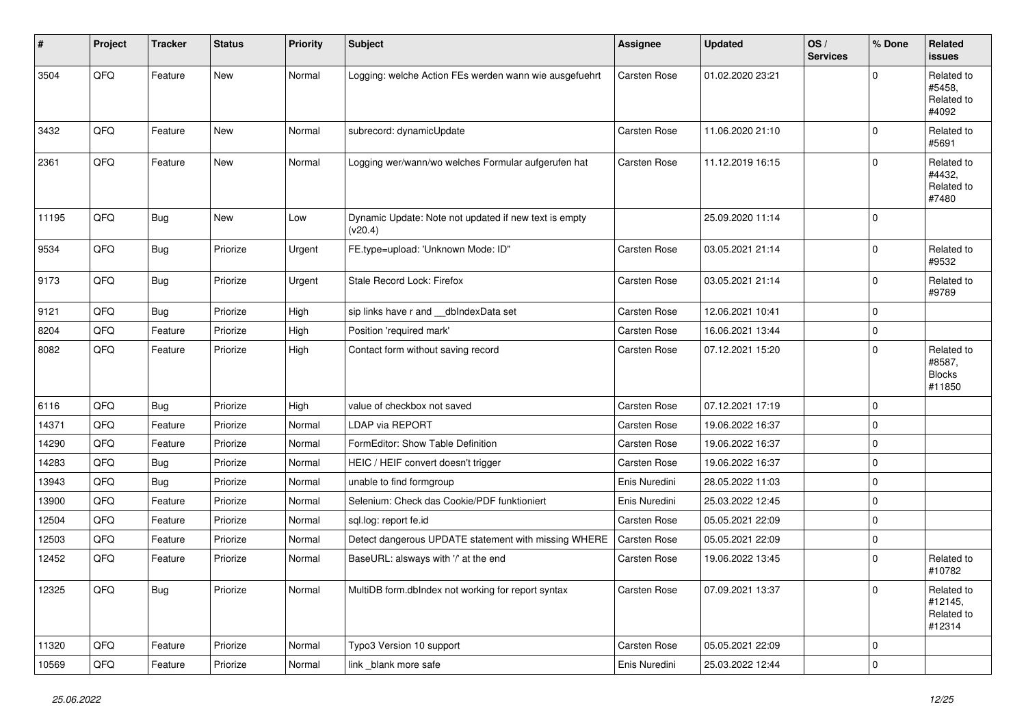| #     | Project | <b>Tracker</b> | <b>Status</b> | <b>Priority</b> | Subject                                                          | <b>Assignee</b>     | <b>Updated</b>   | OS/<br><b>Services</b> | % Done              | Related<br>issues                               |
|-------|---------|----------------|---------------|-----------------|------------------------------------------------------------------|---------------------|------------------|------------------------|---------------------|-------------------------------------------------|
| 3504  | QFQ     | Feature        | New           | Normal          | Logging: welche Action FEs werden wann wie ausgefuehrt           | Carsten Rose        | 01.02.2020 23:21 |                        | $\Omega$            | Related to<br>#5458.<br>Related to<br>#4092     |
| 3432  | QFQ     | Feature        | <b>New</b>    | Normal          | subrecord: dynamicUpdate                                         | Carsten Rose        | 11.06.2020 21:10 |                        | $\Omega$            | Related to<br>#5691                             |
| 2361  | QFQ     | Feature        | New           | Normal          | Logging wer/wann/wo welches Formular aufgerufen hat              | Carsten Rose        | 11.12.2019 16:15 |                        | $\mathbf 0$         | Related to<br>#4432,<br>Related to<br>#7480     |
| 11195 | QFQ     | <b>Bug</b>     | New           | Low             | Dynamic Update: Note not updated if new text is empty<br>(v20.4) |                     | 25.09.2020 11:14 |                        | $\mathbf 0$         |                                                 |
| 9534  | QFQ     | <b>Bug</b>     | Priorize      | Urgent          | FE.type=upload: 'Unknown Mode: ID"                               | Carsten Rose        | 03.05.2021 21:14 |                        | $\mathbf 0$         | Related to<br>#9532                             |
| 9173  | QFQ     | <b>Bug</b>     | Priorize      | Urgent          | Stale Record Lock: Firefox                                       | Carsten Rose        | 03.05.2021 21:14 |                        | $\mathbf 0$         | Related to<br>#9789                             |
| 9121  | QFQ     | Bug            | Priorize      | High            | sip links have r and __dbIndexData set                           | Carsten Rose        | 12.06.2021 10:41 |                        | $\mathbf 0$         |                                                 |
| 8204  | QFQ     | Feature        | Priorize      | High            | Position 'required mark'                                         | Carsten Rose        | 16.06.2021 13:44 |                        | $\mathbf 0$         |                                                 |
| 8082  | QFQ     | Feature        | Priorize      | High            | Contact form without saving record                               | Carsten Rose        | 07.12.2021 15:20 |                        | $\mathbf 0$         | Related to<br>#8587,<br><b>Blocks</b><br>#11850 |
| 6116  | QFQ     | <b>Bug</b>     | Priorize      | High            | value of checkbox not saved                                      | Carsten Rose        | 07.12.2021 17:19 |                        | $\mathbf 0$         |                                                 |
| 14371 | QFQ     | Feature        | Priorize      | Normal          | LDAP via REPORT                                                  | Carsten Rose        | 19.06.2022 16:37 |                        | $\Omega$            |                                                 |
| 14290 | QFQ     | Feature        | Priorize      | Normal          | FormEditor: Show Table Definition                                | Carsten Rose        | 19.06.2022 16:37 |                        | $\mathbf 0$         |                                                 |
| 14283 | QFQ     | Bug            | Priorize      | Normal          | HEIC / HEIF convert doesn't trigger                              | Carsten Rose        | 19.06.2022 16:37 |                        | $\mathbf 0$         |                                                 |
| 13943 | QFQ     | Bug            | Priorize      | Normal          | unable to find formgroup                                         | Enis Nuredini       | 28.05.2022 11:03 |                        | $\mathbf 0$         |                                                 |
| 13900 | QFQ     | Feature        | Priorize      | Normal          | Selenium: Check das Cookie/PDF funktioniert                      | Enis Nuredini       | 25.03.2022 12:45 |                        | $\mathbf 0$         |                                                 |
| 12504 | QFQ     | Feature        | Priorize      | Normal          | sql.log: report fe.id                                            | Carsten Rose        | 05.05.2021 22:09 |                        | $\mathbf 0$         |                                                 |
| 12503 | QFQ     | Feature        | Priorize      | Normal          | Detect dangerous UPDATE statement with missing WHERE             | <b>Carsten Rose</b> | 05.05.2021 22:09 |                        | $\mathbf 0$         |                                                 |
| 12452 | QFQ     | Feature        | Priorize      | Normal          | BaseURL: alsways with '/' at the end                             | Carsten Rose        | 19.06.2022 13:45 |                        | $\mathbf 0$         | Related to<br>#10782                            |
| 12325 | QFG     | Bug            | Priorize      | Normal          | MultiDB form.dblndex not working for report syntax               | Carsten Rose        | 07.09.2021 13:37 |                        | 0                   | Related to<br>#12145,<br>Related to<br>#12314   |
| 11320 | QFQ     | Feature        | Priorize      | Normal          | Typo3 Version 10 support                                         | Carsten Rose        | 05.05.2021 22:09 |                        | 0                   |                                                 |
| 10569 | QFQ     | Feature        | Priorize      | Normal          | link _blank more safe                                            | Enis Nuredini       | 25.03.2022 12:44 |                        | $\mathsf{O}\xspace$ |                                                 |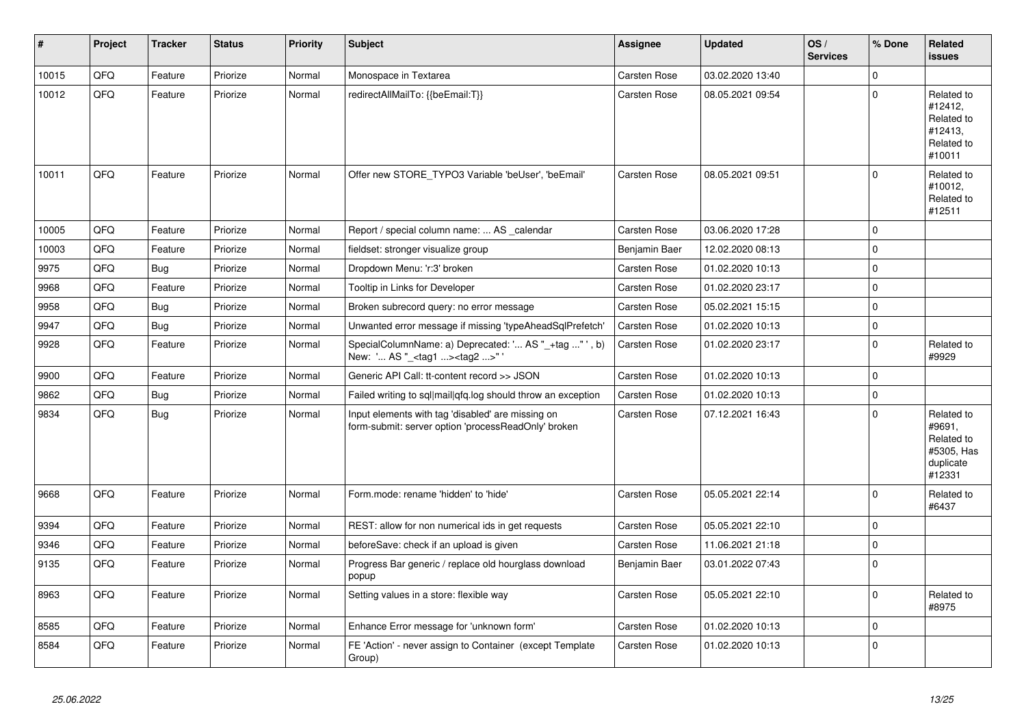| $\vert$ # | Project | <b>Tracker</b> | <b>Status</b> | <b>Priority</b> | <b>Subject</b>                                                                                           | <b>Assignee</b> | <b>Updated</b>   | OS/<br><b>Services</b> | % Done      | Related<br><b>issues</b>                                                |
|-----------|---------|----------------|---------------|-----------------|----------------------------------------------------------------------------------------------------------|-----------------|------------------|------------------------|-------------|-------------------------------------------------------------------------|
| 10015     | QFQ     | Feature        | Priorize      | Normal          | Monospace in Textarea                                                                                    | Carsten Rose    | 03.02.2020 13:40 |                        | $\mathbf 0$ |                                                                         |
| 10012     | QFQ     | Feature        | Priorize      | Normal          | redirectAllMailTo: {{beEmail:T}}                                                                         | Carsten Rose    | 08.05.2021 09:54 |                        | $\Omega$    | Related to<br>#12412,<br>Related to<br>#12413,<br>Related to<br>#10011  |
| 10011     | QFQ     | Feature        | Priorize      | Normal          | Offer new STORE_TYPO3 Variable 'beUser', 'beEmail'                                                       | Carsten Rose    | 08.05.2021 09:51 |                        | 0           | Related to<br>#10012,<br>Related to<br>#12511                           |
| 10005     | QFQ     | Feature        | Priorize      | Normal          | Report / special column name:  AS calendar                                                               | Carsten Rose    | 03.06.2020 17:28 |                        | 0           |                                                                         |
| 10003     | QFQ     | Feature        | Priorize      | Normal          | fieldset: stronger visualize group                                                                       | Benjamin Baer   | 12.02.2020 08:13 |                        | 0           |                                                                         |
| 9975      | QFQ     | Bug            | Priorize      | Normal          | Dropdown Menu: 'r:3' broken                                                                              | Carsten Rose    | 01.02.2020 10:13 |                        | 0           |                                                                         |
| 9968      | QFQ     | Feature        | Priorize      | Normal          | Tooltip in Links for Developer                                                                           | Carsten Rose    | 01.02.2020 23:17 |                        | $\mathbf 0$ |                                                                         |
| 9958      | QFQ     | <b>Bug</b>     | Priorize      | Normal          | Broken subrecord query: no error message                                                                 | Carsten Rose    | 05.02.2021 15:15 |                        | $\pmb{0}$   |                                                                         |
| 9947      | QFQ     | <b>Bug</b>     | Priorize      | Normal          | Unwanted error message if missing 'typeAheadSqlPrefetch'                                                 | Carsten Rose    | 01.02.2020 10:13 |                        | $\pmb{0}$   |                                                                         |
| 9928      | QFQ     | Feature        | Priorize      | Normal          | SpecialColumnName: a) Deprecated: ' AS "_+tag " ', b)<br>New: ' AS "_ <tag1><tag2>"'</tag2></tag1>       | Carsten Rose    | 01.02.2020 23:17 |                        | $\mathbf 0$ | Related to<br>#9929                                                     |
| 9900      | QFQ     | Feature        | Priorize      | Normal          | Generic API Call: tt-content record >> JSON                                                              | Carsten Rose    | 01.02.2020 10:13 |                        | 0           |                                                                         |
| 9862      | QFQ     | <b>Bug</b>     | Priorize      | Normal          | Failed writing to sql mail qfq.log should throw an exception                                             | Carsten Rose    | 01.02.2020 10:13 |                        | 0           |                                                                         |
| 9834      | QFQ     | <b>Bug</b>     | Priorize      | Normal          | Input elements with tag 'disabled' are missing on<br>form-submit: server option 'processReadOnly' broken | Carsten Rose    | 07.12.2021 16:43 |                        | $\Omega$    | Related to<br>#9691,<br>Related to<br>#5305, Has<br>duplicate<br>#12331 |
| 9668      | QFQ     | Feature        | Priorize      | Normal          | Form.mode: rename 'hidden' to 'hide'                                                                     | Carsten Rose    | 05.05.2021 22:14 |                        | $\mathbf 0$ | Related to<br>#6437                                                     |
| 9394      | QFQ     | Feature        | Priorize      | Normal          | REST: allow for non numerical ids in get requests                                                        | Carsten Rose    | 05.05.2021 22:10 |                        | $\mathbf 0$ |                                                                         |
| 9346      | QFQ     | Feature        | Priorize      | Normal          | beforeSave: check if an upload is given                                                                  | Carsten Rose    | 11.06.2021 21:18 |                        | $\mathsf 0$ |                                                                         |
| 9135      | QFQ     | Feature        | Priorize      | Normal          | Progress Bar generic / replace old hourglass download<br>popup                                           | Benjamin Baer   | 03.01.2022 07:43 |                        | $\pmb{0}$   |                                                                         |
| 8963      | QFQ     | Feature        | Priorize      | Normal          | Setting values in a store: flexible way                                                                  | Carsten Rose    | 05.05.2021 22:10 |                        | 0           | Related to<br>#8975                                                     |
| 8585      | QFQ     | Feature        | Priorize      | Normal          | Enhance Error message for 'unknown form'                                                                 | Carsten Rose    | 01.02.2020 10:13 |                        | $\mathbf 0$ |                                                                         |
| 8584      | QFQ     | Feature        | Priorize      | Normal          | FE 'Action' - never assign to Container (except Template<br>Group)                                       | Carsten Rose    | 01.02.2020 10:13 |                        | 0           |                                                                         |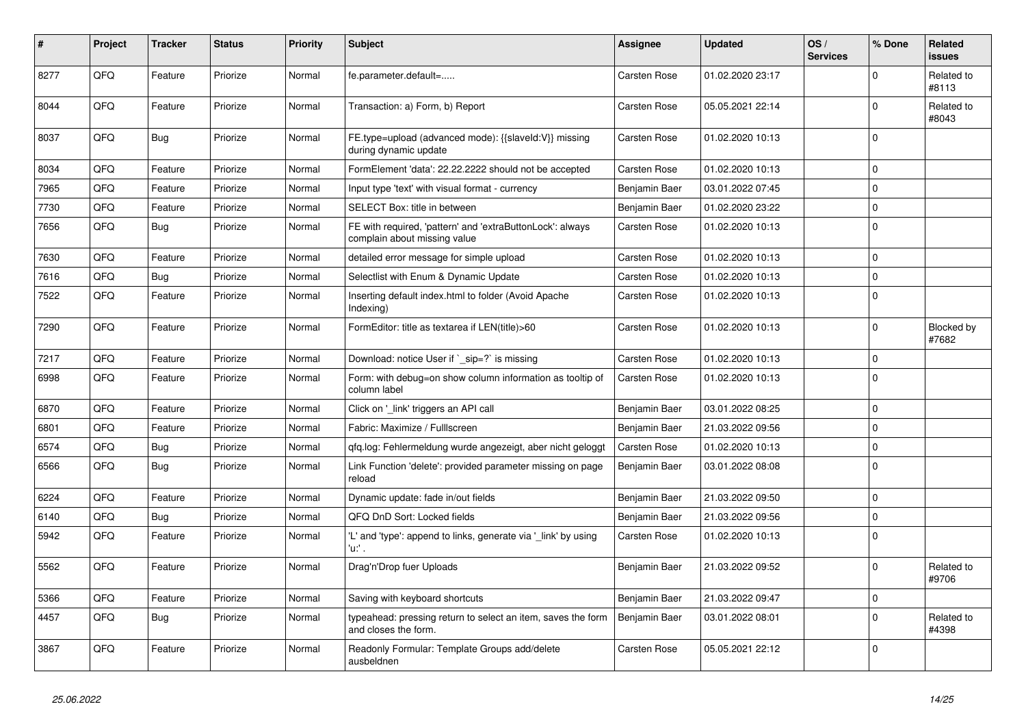| #    | Project | <b>Tracker</b> | <b>Status</b> | <b>Priority</b> | <b>Subject</b>                                                                            | <b>Assignee</b>     | <b>Updated</b>   | OS/<br><b>Services</b> | % Done      | Related<br><b>issues</b> |
|------|---------|----------------|---------------|-----------------|-------------------------------------------------------------------------------------------|---------------------|------------------|------------------------|-------------|--------------------------|
| 8277 | QFQ     | Feature        | Priorize      | Normal          | fe.parameter.default=                                                                     | Carsten Rose        | 01.02.2020 23:17 |                        | $\Omega$    | Related to<br>#8113      |
| 8044 | QFQ     | Feature        | Priorize      | Normal          | Transaction: a) Form, b) Report                                                           | Carsten Rose        | 05.05.2021 22:14 |                        | $\mathbf 0$ | Related to<br>#8043      |
| 8037 | QFQ     | <b>Bug</b>     | Priorize      | Normal          | FE.type=upload (advanced mode): {{slaveId:V}} missing<br>during dynamic update            | Carsten Rose        | 01.02.2020 10:13 |                        | $\mathbf 0$ |                          |
| 8034 | QFQ     | Feature        | Priorize      | Normal          | FormElement 'data': 22.22.2222 should not be accepted                                     | <b>Carsten Rose</b> | 01.02.2020 10:13 |                        | $\mathbf 0$ |                          |
| 7965 | QFQ     | Feature        | Priorize      | Normal          | Input type 'text' with visual format - currency                                           | Benjamin Baer       | 03.01.2022 07:45 |                        | $\mathbf 0$ |                          |
| 7730 | QFQ     | Feature        | Priorize      | Normal          | SELECT Box: title in between                                                              | Benjamin Baer       | 01.02.2020 23:22 |                        | $\mathbf 0$ |                          |
| 7656 | QFQ     | <b>Bug</b>     | Priorize      | Normal          | FE with required, 'pattern' and 'extraButtonLock': always<br>complain about missing value | Carsten Rose        | 01.02.2020 10:13 |                        | $\mathbf 0$ |                          |
| 7630 | QFQ     | Feature        | Priorize      | Normal          | detailed error message for simple upload                                                  | Carsten Rose        | 01.02.2020 10:13 |                        | $\mathbf 0$ |                          |
| 7616 | QFQ     | Bug            | Priorize      | Normal          | Selectlist with Enum & Dynamic Update                                                     | Carsten Rose        | 01.02.2020 10:13 |                        | $\mathbf 0$ |                          |
| 7522 | QFQ     | Feature        | Priorize      | Normal          | Inserting default index.html to folder (Avoid Apache<br>Indexing)                         | Carsten Rose        | 01.02.2020 10:13 |                        | $\mathbf 0$ |                          |
| 7290 | QFQ     | Feature        | Priorize      | Normal          | FormEditor: title as textarea if LEN(title)>60                                            | Carsten Rose        | 01.02.2020 10:13 |                        | $\mathbf 0$ | Blocked by<br>#7682      |
| 7217 | QFQ     | Feature        | Priorize      | Normal          | Download: notice User if `_sip=?` is missing                                              | Carsten Rose        | 01.02.2020 10:13 |                        | $\Omega$    |                          |
| 6998 | QFQ     | Feature        | Priorize      | Normal          | Form: with debug=on show column information as tooltip of<br>column label                 | Carsten Rose        | 01.02.2020 10:13 |                        | $\Omega$    |                          |
| 6870 | QFQ     | Feature        | Priorize      | Normal          | Click on '_link' triggers an API call                                                     | Benjamin Baer       | 03.01.2022 08:25 |                        | $\mathbf 0$ |                          |
| 6801 | QFQ     | Feature        | Priorize      | Normal          | Fabric: Maximize / FullIscreen                                                            | Benjamin Baer       | 21.03.2022 09:56 |                        | $\mathbf 0$ |                          |
| 6574 | QFQ     | <b>Bug</b>     | Priorize      | Normal          | gfg.log: Fehlermeldung wurde angezeigt, aber nicht geloggt                                | Carsten Rose        | 01.02.2020 10:13 |                        | $\pmb{0}$   |                          |
| 6566 | QFQ     | <b>Bug</b>     | Priorize      | Normal          | Link Function 'delete': provided parameter missing on page<br>reload                      | Benjamin Baer       | 03.01.2022 08:08 |                        | $\mathbf 0$ |                          |
| 6224 | QFQ     | Feature        | Priorize      | Normal          | Dynamic update: fade in/out fields                                                        | Benjamin Baer       | 21.03.2022 09:50 |                        | $\mathbf 0$ |                          |
| 6140 | QFQ     | Bug            | Priorize      | Normal          | QFQ DnD Sort: Locked fields                                                               | Benjamin Baer       | 21.03.2022 09:56 |                        | $\mathbf 0$ |                          |
| 5942 | QFQ     | Feature        | Priorize      | Normal          | 'L' and 'type': append to links, generate via 'link' by using<br>'u:' .                   | Carsten Rose        | 01.02.2020 10:13 |                        | $\mathbf 0$ |                          |
| 5562 | QFQ     | Feature        | Priorize      | Normal          | Drag'n'Drop fuer Uploads                                                                  | Benjamin Baer       | 21.03.2022 09:52 |                        | $\mathbf 0$ | Related to<br>#9706      |
| 5366 | QFQ     | Feature        | Priorize      | Normal          | Saving with keyboard shortcuts                                                            | Benjamin Baer       | 21.03.2022 09:47 |                        | $\mathbf 0$ |                          |
| 4457 | QFQ     | Bug            | Priorize      | Normal          | typeahead: pressing return to select an item, saves the form<br>and closes the form.      | Benjamin Baer       | 03.01.2022 08:01 |                        | $\mathbf 0$ | Related to<br>#4398      |
| 3867 | QFQ     | Feature        | Priorize      | Normal          | Readonly Formular: Template Groups add/delete<br>ausbeldnen                               | Carsten Rose        | 05.05.2021 22:12 |                        | $\mathbf 0$ |                          |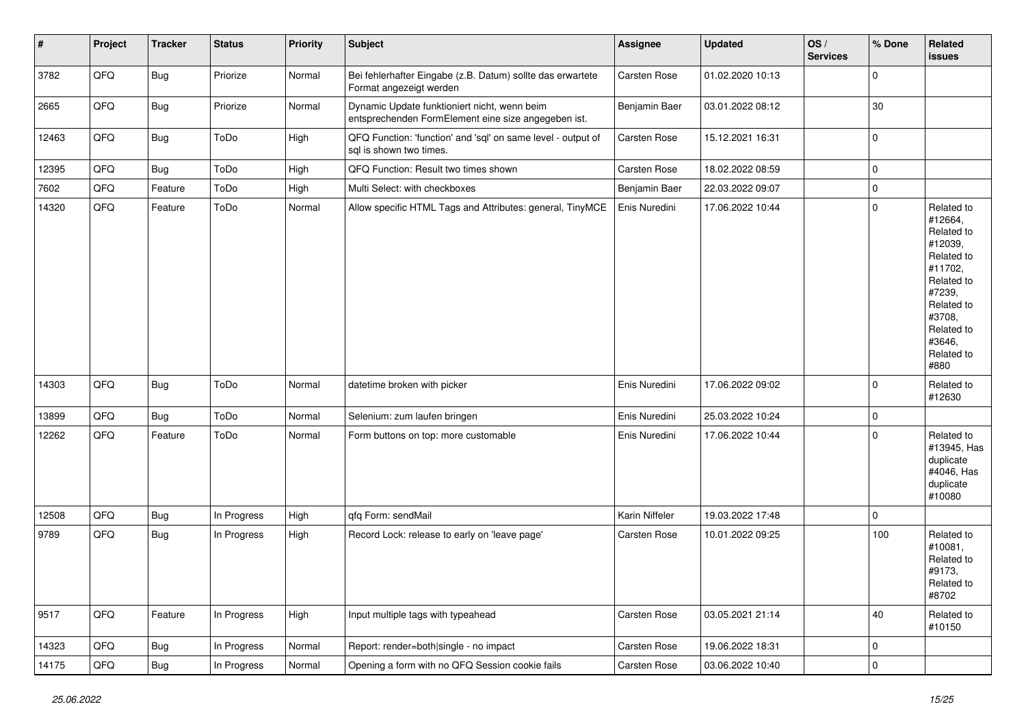| $\vert$ # | Project | <b>Tracker</b> | <b>Status</b> | <b>Priority</b> | <b>Subject</b>                                                                                      | Assignee       | <b>Updated</b>   | OS/<br><b>Services</b> | % Done         | Related<br><b>issues</b>                                                                                                                                              |
|-----------|---------|----------------|---------------|-----------------|-----------------------------------------------------------------------------------------------------|----------------|------------------|------------------------|----------------|-----------------------------------------------------------------------------------------------------------------------------------------------------------------------|
| 3782      | QFQ     | <b>Bug</b>     | Priorize      | Normal          | Bei fehlerhafter Eingabe (z.B. Datum) sollte das erwartete<br>Format angezeigt werden               | Carsten Rose   | 01.02.2020 10:13 |                        | $\pmb{0}$      |                                                                                                                                                                       |
| 2665      | QFQ     | <b>Bug</b>     | Priorize      | Normal          | Dynamic Update funktioniert nicht, wenn beim<br>entsprechenden FormElement eine size angegeben ist. | Benjamin Baer  | 03.01.2022 08:12 |                        | 30             |                                                                                                                                                                       |
| 12463     | QFQ     | Bug            | ToDo          | High            | QFQ Function: 'function' and 'sql' on same level - output of<br>sql is shown two times.             | Carsten Rose   | 15.12.2021 16:31 |                        | $\mathbf 0$    |                                                                                                                                                                       |
| 12395     | QFQ     | <b>Bug</b>     | ToDo          | High            | QFQ Function: Result two times shown                                                                | Carsten Rose   | 18.02.2022 08:59 |                        | $\mathbf 0$    |                                                                                                                                                                       |
| 7602      | QFQ     | Feature        | ToDo          | High            | Multi Select: with checkboxes                                                                       | Benjamin Baer  | 22.03.2022 09:07 |                        | $\pmb{0}$      |                                                                                                                                                                       |
| 14320     | QFQ     | Feature        | ToDo          | Normal          | Allow specific HTML Tags and Attributes: general, TinyMCE                                           | Enis Nuredini  | 17.06.2022 10:44 |                        | $\mathbf 0$    | Related to<br>#12664,<br>Related to<br>#12039,<br>Related to<br>#11702,<br>Related to<br>#7239,<br>Related to<br>#3708,<br>Related to<br>#3646,<br>Related to<br>#880 |
| 14303     | QFQ     | <b>Bug</b>     | ToDo          | Normal          | datetime broken with picker                                                                         | Enis Nuredini  | 17.06.2022 09:02 |                        | $\mathbf 0$    | Related to<br>#12630                                                                                                                                                  |
| 13899     | QFQ     | Bug            | ToDo          | Normal          | Selenium: zum laufen bringen                                                                        | Enis Nuredini  | 25.03.2022 10:24 |                        | $\mathbf 0$    |                                                                                                                                                                       |
| 12262     | QFQ     | Feature        | ToDo          | Normal          | Form buttons on top: more customable                                                                | Enis Nuredini  | 17.06.2022 10:44 |                        | $\mathbf 0$    | Related to<br>#13945, Has<br>duplicate<br>#4046, Has<br>duplicate<br>#10080                                                                                           |
| 12508     | QFQ     | <b>Bug</b>     | In Progress   | High            | qfq Form: sendMail                                                                                  | Karin Niffeler | 19.03.2022 17:48 |                        | $\pmb{0}$      |                                                                                                                                                                       |
| 9789      | QFQ     | <b>Bug</b>     | In Progress   | High            | Record Lock: release to early on 'leave page'                                                       | Carsten Rose   | 10.01.2022 09:25 |                        | 100            | Related to<br>#10081,<br>Related to<br>#9173,<br>Related to<br>#8702                                                                                                  |
| 9517      | QFQ     | Feature        | In Progress   | High            | Input multiple tags with typeahead                                                                  | Carsten Rose   | 03.05.2021 21:14 |                        | 40             | Related to<br>#10150                                                                                                                                                  |
| 14323     | QFQ     | <b>Bug</b>     | In Progress   | Normal          | Report: render=both single - no impact                                                              | Carsten Rose   | 19.06.2022 18:31 |                        | $\mathbf 0$    |                                                                                                                                                                       |
| 14175     | QFQ     | Bug            | In Progress   | Normal          | Opening a form with no QFQ Session cookie fails                                                     | Carsten Rose   | 03.06.2022 10:40 |                        | $\overline{0}$ |                                                                                                                                                                       |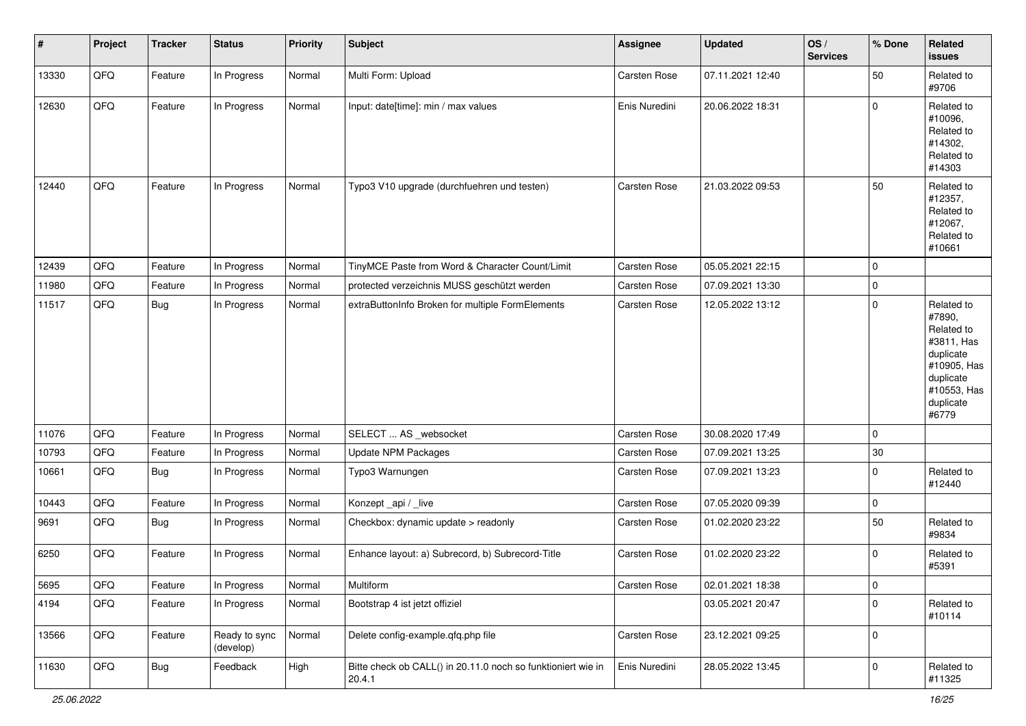| #     | Project | <b>Tracker</b> | <b>Status</b>              | <b>Priority</b> | <b>Subject</b>                                                         | <b>Assignee</b>     | <b>Updated</b>   | OS/<br><b>Services</b> | % Done       | Related<br><b>issues</b>                                                                                                       |
|-------|---------|----------------|----------------------------|-----------------|------------------------------------------------------------------------|---------------------|------------------|------------------------|--------------|--------------------------------------------------------------------------------------------------------------------------------|
| 13330 | QFQ     | Feature        | In Progress                | Normal          | Multi Form: Upload                                                     | Carsten Rose        | 07.11.2021 12:40 |                        | 50           | Related to<br>#9706                                                                                                            |
| 12630 | QFQ     | Feature        | In Progress                | Normal          | Input: date[time]: min / max values                                    | Enis Nuredini       | 20.06.2022 18:31 |                        | $\mathbf{0}$ | Related to<br>#10096,<br>Related to<br>#14302,<br>Related to<br>#14303                                                         |
| 12440 | QFQ     | Feature        | In Progress                | Normal          | Typo3 V10 upgrade (durchfuehren und testen)                            | Carsten Rose        | 21.03.2022 09:53 |                        | 50           | Related to<br>#12357,<br>Related to<br>#12067,<br>Related to<br>#10661                                                         |
| 12439 | QFQ     | Feature        | In Progress                | Normal          | TinyMCE Paste from Word & Character Count/Limit                        | <b>Carsten Rose</b> | 05.05.2021 22:15 |                        | 0            |                                                                                                                                |
| 11980 | QFQ     | Feature        | In Progress                | Normal          | protected verzeichnis MUSS geschützt werden                            | <b>Carsten Rose</b> | 07.09.2021 13:30 |                        | 0            |                                                                                                                                |
| 11517 | QFQ     | <b>Bug</b>     | In Progress                | Normal          | extraButtonInfo Broken for multiple FormElements                       | <b>Carsten Rose</b> | 12.05.2022 13:12 |                        | 0            | Related to<br>#7890,<br>Related to<br>#3811, Has<br>duplicate<br>#10905, Has<br>duplicate<br>#10553, Has<br>duplicate<br>#6779 |
| 11076 | QFQ     | Feature        | In Progress                | Normal          | SELECT  AS _websocket                                                  | Carsten Rose        | 30.08.2020 17:49 |                        | $\mathbf{0}$ |                                                                                                                                |
| 10793 | QFQ     | Feature        | In Progress                | Normal          | <b>Update NPM Packages</b>                                             | <b>Carsten Rose</b> | 07.09.2021 13:25 |                        | $30\,$       |                                                                                                                                |
| 10661 | QFQ     | <b>Bug</b>     | In Progress                | Normal          | Typo3 Warnungen                                                        | <b>Carsten Rose</b> | 07.09.2021 13:23 |                        | $\mathbf{0}$ | Related to<br>#12440                                                                                                           |
| 10443 | QFQ     | Feature        | In Progress                | Normal          | Konzept_api / _live                                                    | Carsten Rose        | 07.05.2020 09:39 |                        | 0            |                                                                                                                                |
| 9691  | QFQ     | <b>Bug</b>     | In Progress                | Normal          | Checkbox: dynamic update > readonly                                    | Carsten Rose        | 01.02.2020 23:22 |                        | 50           | Related to<br>#9834                                                                                                            |
| 6250  | QFQ     | Feature        | In Progress                | Normal          | Enhance layout: a) Subrecord, b) Subrecord-Title                       | <b>Carsten Rose</b> | 01.02.2020 23:22 |                        | $\mathbf 0$  | Related to<br>#5391                                                                                                            |
| 5695  | QFQ     | Feature        | In Progress                | Normal          | Multiform                                                              | <b>Carsten Rose</b> | 02.01.2021 18:38 |                        | 0            |                                                                                                                                |
| 4194  | QFQ     | Feature        | In Progress                | Normal          | Bootstrap 4 ist jetzt offiziel                                         |                     | 03.05.2021 20:47 |                        | $\Omega$     | Related to<br>#10114                                                                                                           |
| 13566 | QFG     | Feature        | Ready to sync<br>(develop) | Normal          | Delete config-example.qfq.php file                                     | Carsten Rose        | 23.12.2021 09:25 |                        | 0            |                                                                                                                                |
| 11630 | QFQ     | <b>Bug</b>     | Feedback                   | High            | Bitte check ob CALL() in 20.11.0 noch so funktioniert wie in<br>20.4.1 | Enis Nuredini       | 28.05.2022 13:45 |                        | $\mathbf 0$  | Related to<br>#11325                                                                                                           |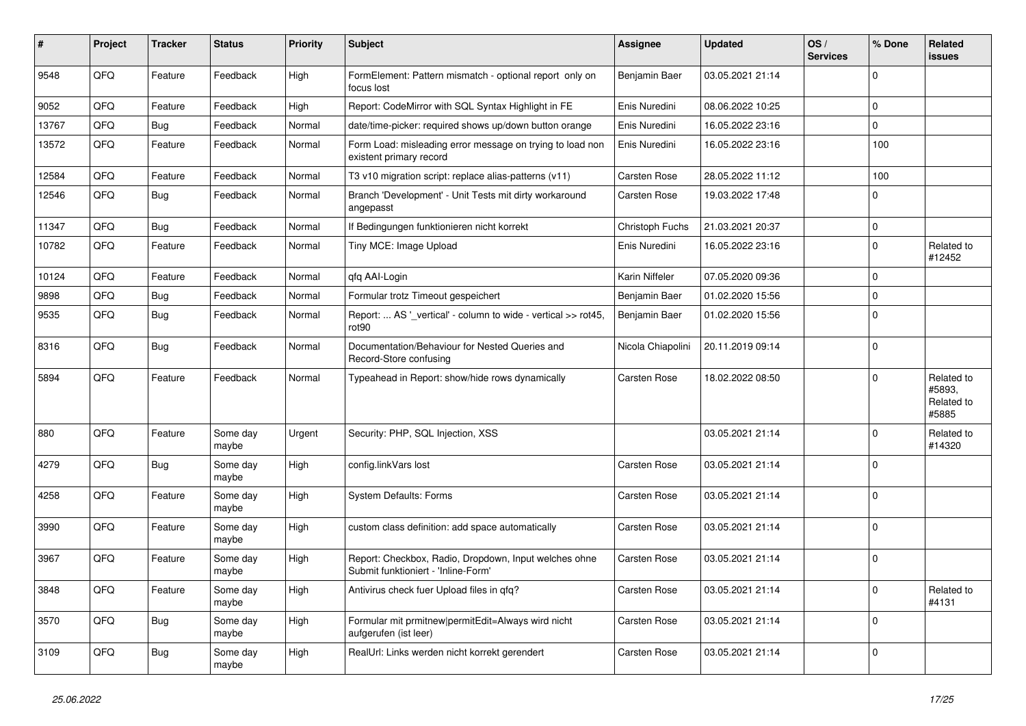| #     | Project | <b>Tracker</b> | <b>Status</b>     | <b>Priority</b> | <b>Subject</b>                                                                               | <b>Assignee</b>   | <b>Updated</b>   | OS/<br><b>Services</b> | % Done         | Related<br><b>issues</b>                    |
|-------|---------|----------------|-------------------|-----------------|----------------------------------------------------------------------------------------------|-------------------|------------------|------------------------|----------------|---------------------------------------------|
| 9548  | QFQ     | Feature        | Feedback          | High            | FormElement: Pattern mismatch - optional report only on<br>focus lost                        | Benjamin Baer     | 03.05.2021 21:14 |                        | $\Omega$       |                                             |
| 9052  | QFQ     | Feature        | Feedback          | High            | Report: CodeMirror with SQL Syntax Highlight in FE                                           | Enis Nuredini     | 08.06.2022 10:25 |                        | $\mathbf 0$    |                                             |
| 13767 | QFQ     | Bug            | Feedback          | Normal          | date/time-picker: required shows up/down button orange                                       | Enis Nuredini     | 16.05.2022 23:16 |                        | $\mathbf 0$    |                                             |
| 13572 | QFQ     | Feature        | Feedback          | Normal          | Form Load: misleading error message on trying to load non<br>existent primary record         | Enis Nuredini     | 16.05.2022 23:16 |                        | 100            |                                             |
| 12584 | QFQ     | Feature        | Feedback          | Normal          | T3 v10 migration script: replace alias-patterns (v11)                                        | Carsten Rose      | 28.05.2022 11:12 |                        | 100            |                                             |
| 12546 | QFQ     | Bug            | Feedback          | Normal          | Branch 'Development' - Unit Tests mit dirty workaround<br>angepasst                          | Carsten Rose      | 19.03.2022 17:48 |                        | $\mathbf 0$    |                                             |
| 11347 | QFQ     | Bug            | Feedback          | Normal          | If Bedingungen funktionieren nicht korrekt                                                   | Christoph Fuchs   | 21.03.2021 20:37 |                        | $\mathbf 0$    |                                             |
| 10782 | QFQ     | Feature        | Feedback          | Normal          | Tiny MCE: Image Upload                                                                       | Enis Nuredini     | 16.05.2022 23:16 |                        | $\mathbf 0$    | Related to<br>#12452                        |
| 10124 | QFQ     | Feature        | Feedback          | Normal          | qfq AAI-Login                                                                                | Karin Niffeler    | 07.05.2020 09:36 |                        | $\mathbf 0$    |                                             |
| 9898  | QFQ     | <b>Bug</b>     | Feedback          | Normal          | Formular trotz Timeout gespeichert                                                           | Benjamin Baer     | 01.02.2020 15:56 |                        | $\mathbf 0$    |                                             |
| 9535  | QFQ     | Bug            | Feedback          | Normal          | Report:  AS '_vertical' - column to wide - vertical >> rot45,<br>rot90                       | Benjamin Baer     | 01.02.2020 15:56 |                        | $\mathbf 0$    |                                             |
| 8316  | QFQ     | Bug            | Feedback          | Normal          | Documentation/Behaviour for Nested Queries and<br>Record-Store confusing                     | Nicola Chiapolini | 20.11.2019 09:14 |                        | $\mathbf 0$    |                                             |
| 5894  | QFQ     | Feature        | Feedback          | Normal          | Typeahead in Report: show/hide rows dynamically                                              | Carsten Rose      | 18.02.2022 08:50 |                        | $\mathbf 0$    | Related to<br>#5893.<br>Related to<br>#5885 |
| 880   | QFQ     | Feature        | Some day<br>maybe | Urgent          | Security: PHP, SQL Injection, XSS                                                            |                   | 03.05.2021 21:14 |                        | $\Omega$       | Related to<br>#14320                        |
| 4279  | QFQ     | <b>Bug</b>     | Some day<br>maybe | High            | config.linkVars lost                                                                         | Carsten Rose      | 03.05.2021 21:14 |                        | $\mathbf 0$    |                                             |
| 4258  | QFQ     | Feature        | Some day<br>maybe | High            | System Defaults: Forms                                                                       | Carsten Rose      | 03.05.2021 21:14 |                        | $\mathbf 0$    |                                             |
| 3990  | QFQ     | Feature        | Some day<br>maybe | High            | custom class definition: add space automatically                                             | Carsten Rose      | 03.05.2021 21:14 |                        | $\mathbf 0$    |                                             |
| 3967  | QFQ     | Feature        | Some day<br>maybe | High            | Report: Checkbox, Radio, Dropdown, Input welches ohne<br>Submit funktioniert - 'Inline-Form' | Carsten Rose      | 03.05.2021 21:14 |                        | $\mathbf 0$    |                                             |
| 3848  | QFQ     | Feature        | Some day<br>maybe | High            | Antivirus check fuer Upload files in qfq?                                                    | Carsten Rose      | 03.05.2021 21:14 |                        | $\overline{0}$ | Related to<br>#4131                         |
| 3570  | QFQ     | <b>Bug</b>     | Some day<br>maybe | High            | Formular mit prmitnew permitEdit=Always wird nicht<br>aufgerufen (ist leer)                  | Carsten Rose      | 03.05.2021 21:14 |                        | $\mathbf 0$    |                                             |
| 3109  | QFQ     | <b>Bug</b>     | Some day<br>maybe | High            | RealUrl: Links werden nicht korrekt gerendert                                                | Carsten Rose      | 03.05.2021 21:14 |                        | 0              |                                             |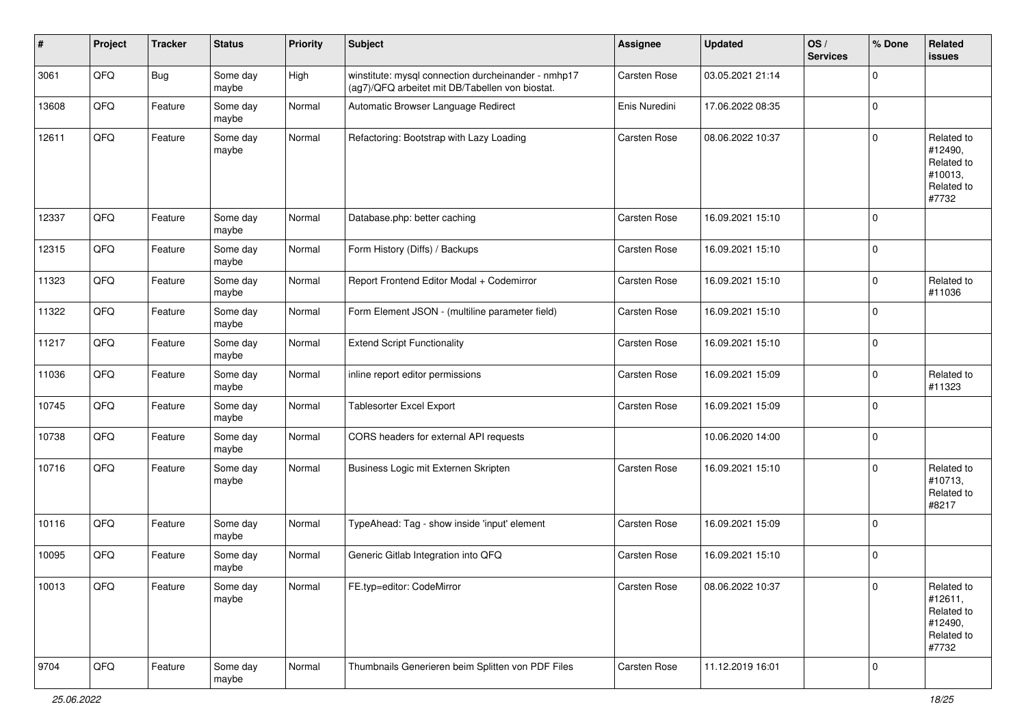| #     | Project | <b>Tracker</b> | <b>Status</b>     | <b>Priority</b> | <b>Subject</b>                                                                                         | <b>Assignee</b>     | <b>Updated</b>   | OS/<br><b>Services</b> | % Done      | Related<br>issues                                                     |
|-------|---------|----------------|-------------------|-----------------|--------------------------------------------------------------------------------------------------------|---------------------|------------------|------------------------|-------------|-----------------------------------------------------------------------|
| 3061  | QFQ     | Bug            | Some day<br>maybe | High            | winstitute: mysql connection durcheinander - nmhp17<br>(ag7)/QFQ arbeitet mit DB/Tabellen von biostat. | Carsten Rose        | 03.05.2021 21:14 |                        | 0           |                                                                       |
| 13608 | QFQ     | Feature        | Some day<br>maybe | Normal          | Automatic Browser Language Redirect                                                                    | Enis Nuredini       | 17.06.2022 08:35 |                        | $\mathbf 0$ |                                                                       |
| 12611 | QFQ     | Feature        | Some day<br>maybe | Normal          | Refactoring: Bootstrap with Lazy Loading                                                               | Carsten Rose        | 08.06.2022 10:37 |                        | $\mathbf 0$ | Related to<br>#12490,<br>Related to<br>#10013,<br>Related to<br>#7732 |
| 12337 | QFQ     | Feature        | Some day<br>maybe | Normal          | Database.php: better caching                                                                           | Carsten Rose        | 16.09.2021 15:10 |                        | $\mathbf 0$ |                                                                       |
| 12315 | QFQ     | Feature        | Some day<br>maybe | Normal          | Form History (Diffs) / Backups                                                                         | Carsten Rose        | 16.09.2021 15:10 |                        | $\pmb{0}$   |                                                                       |
| 11323 | QFQ     | Feature        | Some day<br>maybe | Normal          | Report Frontend Editor Modal + Codemirror                                                              | Carsten Rose        | 16.09.2021 15:10 |                        | $\pmb{0}$   | Related to<br>#11036                                                  |
| 11322 | QFQ     | Feature        | Some day<br>maybe | Normal          | Form Element JSON - (multiline parameter field)                                                        | Carsten Rose        | 16.09.2021 15:10 |                        | $\mathbf 0$ |                                                                       |
| 11217 | QFQ     | Feature        | Some day<br>maybe | Normal          | <b>Extend Script Functionality</b>                                                                     | Carsten Rose        | 16.09.2021 15:10 |                        | $\pmb{0}$   |                                                                       |
| 11036 | QFQ     | Feature        | Some day<br>maybe | Normal          | inline report editor permissions                                                                       | <b>Carsten Rose</b> | 16.09.2021 15:09 |                        | $\mathbf 0$ | Related to<br>#11323                                                  |
| 10745 | QFQ     | Feature        | Some day<br>maybe | Normal          | <b>Tablesorter Excel Export</b>                                                                        | Carsten Rose        | 16.09.2021 15:09 |                        | $\mathbf 0$ |                                                                       |
| 10738 | QFQ     | Feature        | Some day<br>maybe | Normal          | CORS headers for external API requests                                                                 |                     | 10.06.2020 14:00 |                        | $\mathbf 0$ |                                                                       |
| 10716 | QFQ     | Feature        | Some day<br>maybe | Normal          | Business Logic mit Externen Skripten                                                                   | Carsten Rose        | 16.09.2021 15:10 |                        | $\mathbf 0$ | Related to<br>#10713,<br>Related to<br>#8217                          |
| 10116 | QFQ     | Feature        | Some day<br>maybe | Normal          | TypeAhead: Tag - show inside 'input' element                                                           | Carsten Rose        | 16.09.2021 15:09 |                        | $\mathbf 0$ |                                                                       |
| 10095 | QFQ     | Feature        | Some day<br>maybe | Normal          | Generic Gitlab Integration into QFQ                                                                    | Carsten Rose        | 16.09.2021 15:10 |                        | $\pmb{0}$   |                                                                       |
| 10013 | QFQ     | Feature        | Some day<br>maybe | Normal          | FE.typ=editor: CodeMirror                                                                              | Carsten Rose        | 08.06.2022 10:37 |                        | 0           | Related to<br>#12611,<br>Related to<br>#12490,<br>Related to<br>#7732 |
| 9704  | QFG     | Feature        | Some day<br>maybe | Normal          | Thumbnails Generieren beim Splitten von PDF Files                                                      | Carsten Rose        | 11.12.2019 16:01 |                        | $\pmb{0}$   |                                                                       |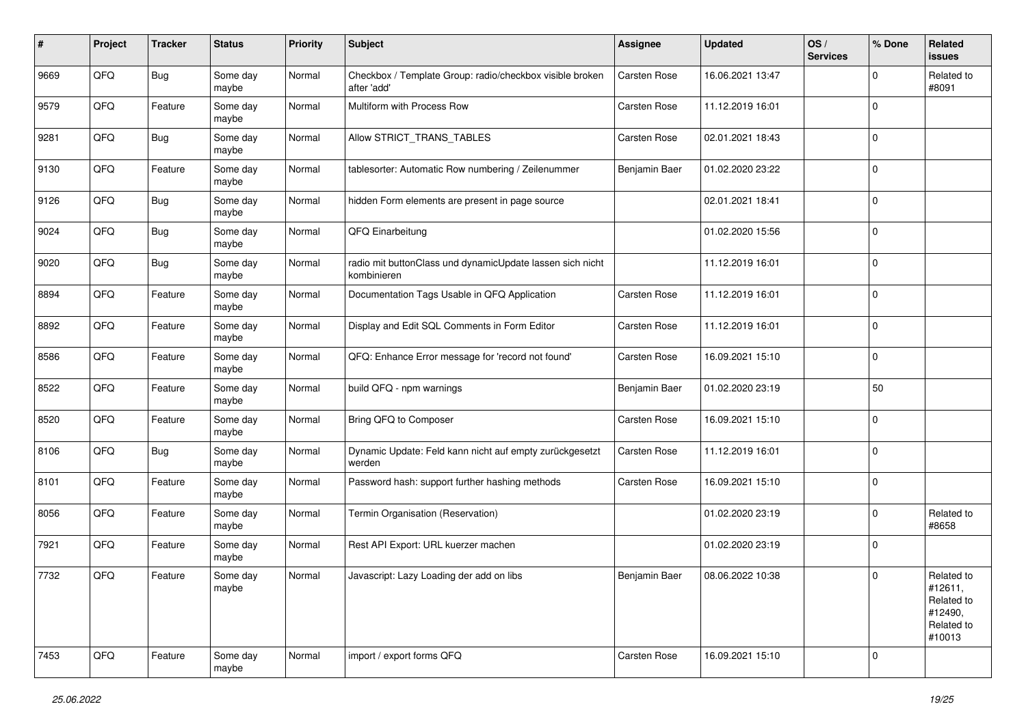| #    | Project | <b>Tracker</b> | <b>Status</b>     | <b>Priority</b> | <b>Subject</b>                                                           | <b>Assignee</b> | <b>Updated</b>   | OS/<br><b>Services</b> | % Done      | Related<br><b>issues</b>                                               |
|------|---------|----------------|-------------------|-----------------|--------------------------------------------------------------------------|-----------------|------------------|------------------------|-------------|------------------------------------------------------------------------|
| 9669 | QFQ     | <b>Bug</b>     | Some day<br>maybe | Normal          | Checkbox / Template Group: radio/checkbox visible broken<br>after 'add'  | Carsten Rose    | 16.06.2021 13:47 |                        | $\Omega$    | Related to<br>#8091                                                    |
| 9579 | QFQ     | Feature        | Some day<br>maybe | Normal          | Multiform with Process Row                                               | Carsten Rose    | 11.12.2019 16:01 |                        | $\Omega$    |                                                                        |
| 9281 | QFQ     | Bug            | Some day<br>maybe | Normal          | Allow STRICT_TRANS_TABLES                                                | Carsten Rose    | 02.01.2021 18:43 |                        | $\Omega$    |                                                                        |
| 9130 | QFQ     | Feature        | Some day<br>maybe | Normal          | tablesorter: Automatic Row numbering / Zeilenummer                       | Benjamin Baer   | 01.02.2020 23:22 |                        | $\Omega$    |                                                                        |
| 9126 | QFQ     | Bug            | Some day<br>maybe | Normal          | hidden Form elements are present in page source                          |                 | 02.01.2021 18:41 |                        | $\Omega$    |                                                                        |
| 9024 | QFQ     | <b>Bug</b>     | Some day<br>maybe | Normal          | QFQ Einarbeitung                                                         |                 | 01.02.2020 15:56 |                        | $\Omega$    |                                                                        |
| 9020 | QFQ     | Bug            | Some day<br>maybe | Normal          | radio mit buttonClass und dynamicUpdate lassen sich nicht<br>kombinieren |                 | 11.12.2019 16:01 |                        | $\Omega$    |                                                                        |
| 8894 | QFQ     | Feature        | Some day<br>maybe | Normal          | Documentation Tags Usable in QFQ Application                             | Carsten Rose    | 11.12.2019 16:01 |                        | $\mathbf 0$ |                                                                        |
| 8892 | QFQ     | Feature        | Some day<br>maybe | Normal          | Display and Edit SQL Comments in Form Editor                             | Carsten Rose    | 11.12.2019 16:01 |                        | $\mathbf 0$ |                                                                        |
| 8586 | QFQ     | Feature        | Some day<br>maybe | Normal          | QFQ: Enhance Error message for 'record not found'                        | Carsten Rose    | 16.09.2021 15:10 |                        | $\Omega$    |                                                                        |
| 8522 | QFQ     | Feature        | Some day<br>maybe | Normal          | build QFQ - npm warnings                                                 | Benjamin Baer   | 01.02.2020 23:19 |                        | 50          |                                                                        |
| 8520 | QFQ     | Feature        | Some day<br>maybe | Normal          | Bring QFQ to Composer                                                    | Carsten Rose    | 16.09.2021 15:10 |                        | $\Omega$    |                                                                        |
| 8106 | QFQ     | <b>Bug</b>     | Some day<br>maybe | Normal          | Dynamic Update: Feld kann nicht auf empty zurückgesetzt<br>werden        | Carsten Rose    | 11.12.2019 16:01 |                        | $\Omega$    |                                                                        |
| 8101 | QFQ     | Feature        | Some day<br>maybe | Normal          | Password hash: support further hashing methods                           | Carsten Rose    | 16.09.2021 15:10 |                        | $\Omega$    |                                                                        |
| 8056 | QFQ     | Feature        | Some day<br>maybe | Normal          | Termin Organisation (Reservation)                                        |                 | 01.02.2020 23:19 |                        | $\Omega$    | Related to<br>#8658                                                    |
| 7921 | QFQ     | Feature        | Some day<br>maybe | Normal          | Rest API Export: URL kuerzer machen                                      |                 | 01.02.2020 23:19 |                        | 0           |                                                                        |
| 7732 | QFQ     | Feature        | Some day<br>maybe | Normal          | Javascript: Lazy Loading der add on libs                                 | Benjamin Baer   | 08.06.2022 10:38 |                        | $\mathbf 0$ | Related to<br>#12611,<br>Related to<br>#12490,<br>Related to<br>#10013 |
| 7453 | QFQ     | Feature        | Some day<br>maybe | Normal          | import / export forms QFQ                                                | Carsten Rose    | 16.09.2021 15:10 |                        | $\Omega$    |                                                                        |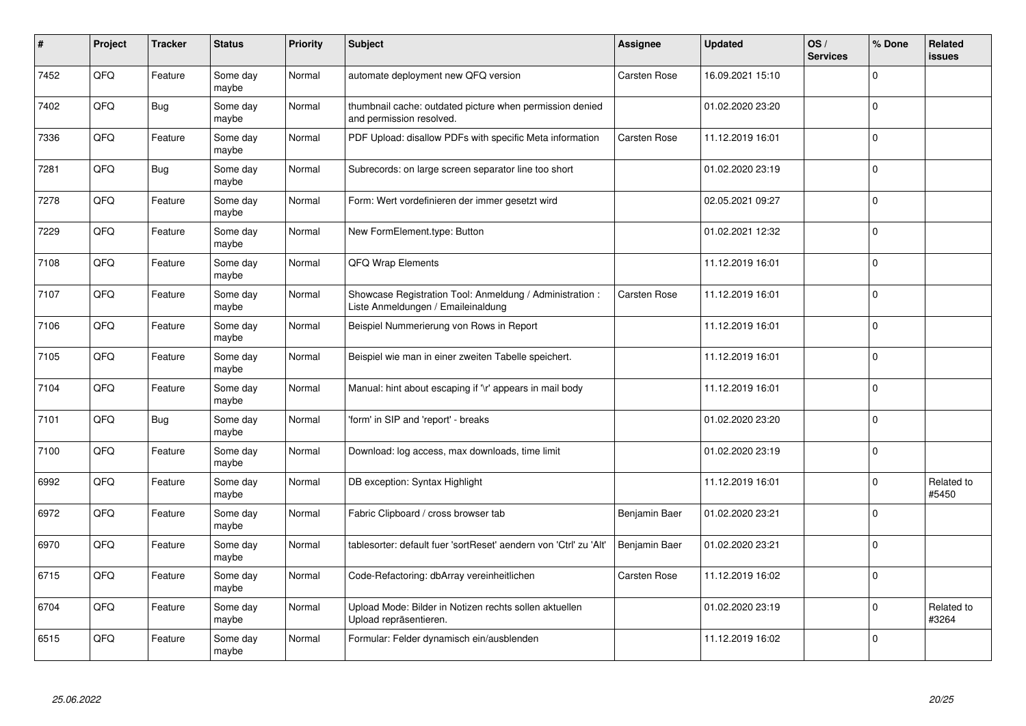| #    | Project | <b>Tracker</b> | <b>Status</b>     | <b>Priority</b> | <b>Subject</b>                                                                                 | <b>Assignee</b> | <b>Updated</b>   | OS/<br><b>Services</b> | % Done      | Related<br><b>issues</b> |
|------|---------|----------------|-------------------|-----------------|------------------------------------------------------------------------------------------------|-----------------|------------------|------------------------|-------------|--------------------------|
| 7452 | QFQ     | Feature        | Some day<br>maybe | Normal          | automate deployment new QFQ version                                                            | Carsten Rose    | 16.09.2021 15:10 |                        | $\Omega$    |                          |
| 7402 | QFQ     | <b>Bug</b>     | Some day<br>maybe | Normal          | thumbnail cache: outdated picture when permission denied<br>and permission resolved.           |                 | 01.02.2020 23:20 |                        | $\mathbf 0$ |                          |
| 7336 | QFQ     | Feature        | Some day<br>maybe | Normal          | PDF Upload: disallow PDFs with specific Meta information                                       | Carsten Rose    | 11.12.2019 16:01 |                        | $\pmb{0}$   |                          |
| 7281 | QFQ     | <b>Bug</b>     | Some day<br>maybe | Normal          | Subrecords: on large screen separator line too short                                           |                 | 01.02.2020 23:19 |                        | $\Omega$    |                          |
| 7278 | QFQ     | Feature        | Some day<br>maybe | Normal          | Form: Wert vordefinieren der immer gesetzt wird                                                |                 | 02.05.2021 09:27 |                        | $\mathbf 0$ |                          |
| 7229 | QFQ     | Feature        | Some day<br>maybe | Normal          | New FormElement.type: Button                                                                   |                 | 01.02.2021 12:32 |                        | $\pmb{0}$   |                          |
| 7108 | QFQ     | Feature        | Some day<br>maybe | Normal          | <b>QFQ Wrap Elements</b>                                                                       |                 | 11.12.2019 16:01 |                        | $\mathbf 0$ |                          |
| 7107 | QFQ     | Feature        | Some day<br>maybe | Normal          | Showcase Registration Tool: Anmeldung / Administration :<br>Liste Anmeldungen / Emaileinaldung | Carsten Rose    | 11.12.2019 16:01 |                        | $\mathbf 0$ |                          |
| 7106 | QFQ     | Feature        | Some day<br>maybe | Normal          | Beispiel Nummerierung von Rows in Report                                                       |                 | 11.12.2019 16:01 |                        | $\pmb{0}$   |                          |
| 7105 | QFQ     | Feature        | Some day<br>maybe | Normal          | Beispiel wie man in einer zweiten Tabelle speichert.                                           |                 | 11.12.2019 16:01 |                        | $\mathbf 0$ |                          |
| 7104 | QFQ     | Feature        | Some day<br>maybe | Normal          | Manual: hint about escaping if '\r' appears in mail body                                       |                 | 11.12.2019 16:01 |                        | $\mathbf 0$ |                          |
| 7101 | QFQ     | <b>Bug</b>     | Some day<br>maybe | Normal          | 'form' in SIP and 'report' - breaks                                                            |                 | 01.02.2020 23:20 |                        | $\mathbf 0$ |                          |
| 7100 | QFQ     | Feature        | Some day<br>maybe | Normal          | Download: log access, max downloads, time limit                                                |                 | 01.02.2020 23:19 |                        | $\mathbf 0$ |                          |
| 6992 | QFQ     | Feature        | Some day<br>maybe | Normal          | DB exception: Syntax Highlight                                                                 |                 | 11.12.2019 16:01 |                        | $\mathbf 0$ | Related to<br>#5450      |
| 6972 | QFQ     | Feature        | Some day<br>maybe | Normal          | Fabric Clipboard / cross browser tab                                                           | Benjamin Baer   | 01.02.2020 23:21 |                        | $\Omega$    |                          |
| 6970 | QFQ     | Feature        | Some day<br>maybe | Normal          | tablesorter: default fuer 'sortReset' aendern von 'Ctrl' zu 'Alt'                              | Benjamin Baer   | 01.02.2020 23:21 |                        | $\mathbf 0$ |                          |
| 6715 | QFQ     | Feature        | Some day<br>maybe | Normal          | Code-Refactoring: dbArray vereinheitlichen                                                     | Carsten Rose    | 11.12.2019 16:02 |                        | $\mathbf 0$ |                          |
| 6704 | QFQ     | Feature        | Some day<br>maybe | Normal          | Upload Mode: Bilder in Notizen rechts sollen aktuellen<br>Upload repräsentieren.               |                 | 01.02.2020 23:19 |                        | $\pmb{0}$   | Related to<br>#3264      |
| 6515 | QFQ     | Feature        | Some day<br>maybe | Normal          | Formular: Felder dynamisch ein/ausblenden                                                      |                 | 11.12.2019 16:02 |                        | $\Omega$    |                          |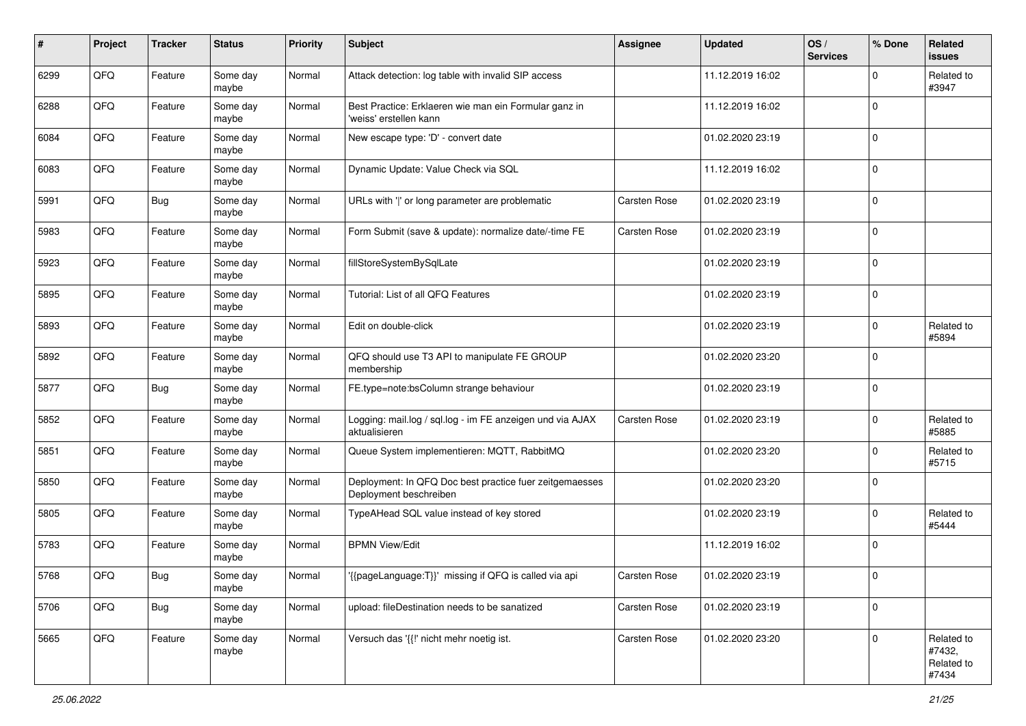| #    | Project | <b>Tracker</b> | <b>Status</b>     | <b>Priority</b> | <b>Subject</b>                                                                    | <b>Assignee</b> | <b>Updated</b>   | OS/<br><b>Services</b> | % Done      | Related<br>issues                           |
|------|---------|----------------|-------------------|-----------------|-----------------------------------------------------------------------------------|-----------------|------------------|------------------------|-------------|---------------------------------------------|
| 6299 | QFQ     | Feature        | Some day<br>maybe | Normal          | Attack detection: log table with invalid SIP access                               |                 | 11.12.2019 16:02 |                        | $\Omega$    | Related to<br>#3947                         |
| 6288 | QFQ     | Feature        | Some day<br>maybe | Normal          | Best Practice: Erklaeren wie man ein Formular ganz in<br>'weiss' erstellen kann   |                 | 11.12.2019 16:02 |                        | $\Omega$    |                                             |
| 6084 | QFQ     | Feature        | Some day<br>maybe | Normal          | New escape type: 'D' - convert date                                               |                 | 01.02.2020 23:19 |                        | $\Omega$    |                                             |
| 6083 | QFQ     | Feature        | Some day<br>maybe | Normal          | Dynamic Update: Value Check via SQL                                               |                 | 11.12.2019 16:02 |                        | $\Omega$    |                                             |
| 5991 | QFQ     | <b>Bug</b>     | Some day<br>maybe | Normal          | URLs with ' ' or long parameter are problematic                                   | Carsten Rose    | 01.02.2020 23:19 |                        | $\Omega$    |                                             |
| 5983 | QFQ     | Feature        | Some day<br>maybe | Normal          | Form Submit (save & update): normalize date/-time FE                              | Carsten Rose    | 01.02.2020 23:19 |                        | $\Omega$    |                                             |
| 5923 | QFQ     | Feature        | Some day<br>maybe | Normal          | fillStoreSystemBySqlLate                                                          |                 | 01.02.2020 23:19 |                        | $\Omega$    |                                             |
| 5895 | QFQ     | Feature        | Some day<br>maybe | Normal          | Tutorial: List of all QFQ Features                                                |                 | 01.02.2020 23:19 |                        | $\Omega$    |                                             |
| 5893 | QFQ     | Feature        | Some day<br>maybe | Normal          | Edit on double-click                                                              |                 | 01.02.2020 23:19 |                        | $\Omega$    | Related to<br>#5894                         |
| 5892 | QFQ     | Feature        | Some day<br>maybe | Normal          | QFQ should use T3 API to manipulate FE GROUP<br>membership                        |                 | 01.02.2020 23:20 |                        | $\Omega$    |                                             |
| 5877 | QFQ     | <b>Bug</b>     | Some day<br>maybe | Normal          | FE.type=note:bsColumn strange behaviour                                           |                 | 01.02.2020 23:19 |                        | $\mathbf 0$ |                                             |
| 5852 | QFQ     | Feature        | Some day<br>maybe | Normal          | Logging: mail.log / sql.log - im FE anzeigen und via AJAX<br>aktualisieren        | Carsten Rose    | 01.02.2020 23:19 |                        | $\Omega$    | Related to<br>#5885                         |
| 5851 | QFQ     | Feature        | Some day<br>maybe | Normal          | Queue System implementieren: MQTT, RabbitMQ                                       |                 | 01.02.2020 23:20 |                        | $\Omega$    | Related to<br>#5715                         |
| 5850 | QFQ     | Feature        | Some day<br>maybe | Normal          | Deployment: In QFQ Doc best practice fuer zeitgemaesses<br>Deployment beschreiben |                 | 01.02.2020 23:20 |                        | $\Omega$    |                                             |
| 5805 | QFQ     | Feature        | Some day<br>maybe | Normal          | TypeAHead SQL value instead of key stored                                         |                 | 01.02.2020 23:19 |                        | $\Omega$    | Related to<br>#5444                         |
| 5783 | QFQ     | Feature        | Some day<br>maybe | Normal          | <b>BPMN View/Edit</b>                                                             |                 | 11.12.2019 16:02 |                        | $\Omega$    |                                             |
| 5768 | QFQ     | Bug            | Some day<br>maybe | Normal          | '{{pageLanguage:T}}' missing if QFQ is called via api                             | Carsten Rose    | 01.02.2020 23:19 |                        | $\Omega$    |                                             |
| 5706 | QFG     | Bug            | Some day<br>maybe | Normal          | upload: fileDestination needs to be sanatized                                     | Carsten Rose    | 01.02.2020 23:19 |                        | 0           |                                             |
| 5665 | QFG     | Feature        | Some day<br>maybe | Normal          | Versuch das '{{!' nicht mehr noetig ist.                                          | Carsten Rose    | 01.02.2020 23:20 |                        | $\mathbf 0$ | Related to<br>#7432,<br>Related to<br>#7434 |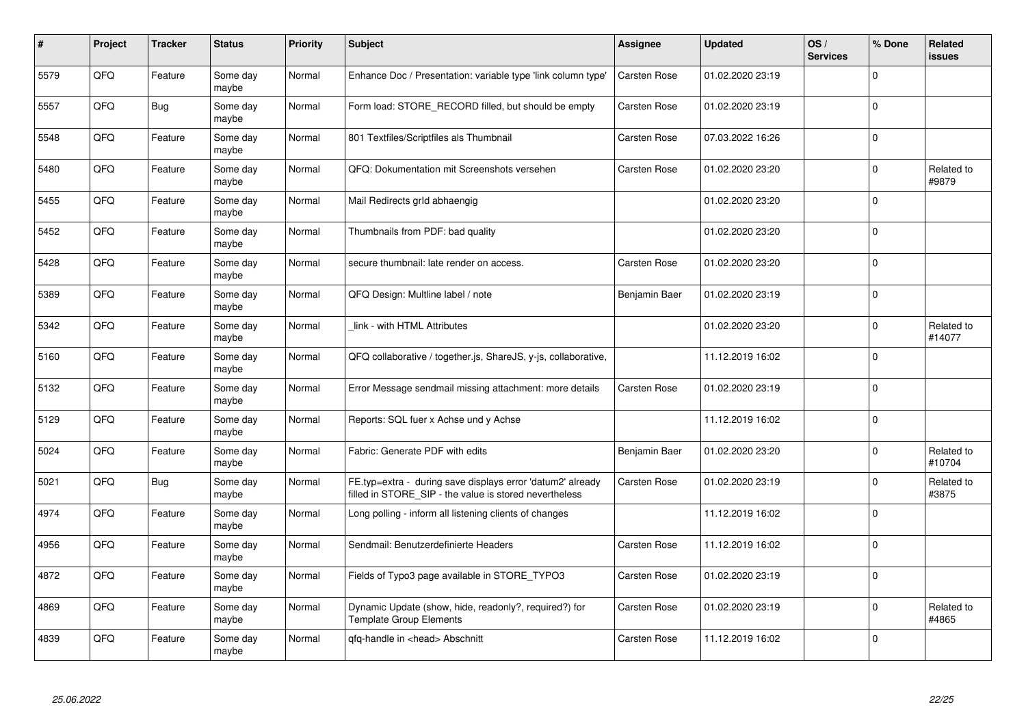| #    | Project | <b>Tracker</b> | <b>Status</b>     | <b>Priority</b> | <b>Subject</b>                                                                                                       | <b>Assignee</b> | <b>Updated</b>   | OS/<br><b>Services</b> | % Done   | Related<br>issues    |
|------|---------|----------------|-------------------|-----------------|----------------------------------------------------------------------------------------------------------------------|-----------------|------------------|------------------------|----------|----------------------|
| 5579 | QFQ     | Feature        | Some day<br>maybe | Normal          | Enhance Doc / Presentation: variable type 'link column type'                                                         | Carsten Rose    | 01.02.2020 23:19 |                        | $\Omega$ |                      |
| 5557 | QFQ     | Bug            | Some day<br>maybe | Normal          | Form load: STORE RECORD filled, but should be empty                                                                  | Carsten Rose    | 01.02.2020 23:19 |                        | $\Omega$ |                      |
| 5548 | QFQ     | Feature        | Some day<br>maybe | Normal          | 801 Textfiles/Scriptfiles als Thumbnail                                                                              | Carsten Rose    | 07.03.2022 16:26 |                        | $\Omega$ |                      |
| 5480 | QFQ     | Feature        | Some day<br>maybe | Normal          | QFQ: Dokumentation mit Screenshots versehen                                                                          | Carsten Rose    | 01.02.2020 23:20 |                        | $\Omega$ | Related to<br>#9879  |
| 5455 | QFQ     | Feature        | Some day<br>maybe | Normal          | Mail Redirects grld abhaengig                                                                                        |                 | 01.02.2020 23:20 |                        | $\Omega$ |                      |
| 5452 | QFQ     | Feature        | Some day<br>maybe | Normal          | Thumbnails from PDF: bad quality                                                                                     |                 | 01.02.2020 23:20 |                        | $\Omega$ |                      |
| 5428 | QFQ     | Feature        | Some dav<br>maybe | Normal          | secure thumbnail: late render on access.                                                                             | Carsten Rose    | 01.02.2020 23:20 |                        | $\Omega$ |                      |
| 5389 | QFQ     | Feature        | Some day<br>maybe | Normal          | QFQ Design: Multline label / note                                                                                    | Benjamin Baer   | 01.02.2020 23:19 |                        | $\Omega$ |                      |
| 5342 | QFQ     | Feature        | Some day<br>maybe | Normal          | link - with HTML Attributes                                                                                          |                 | 01.02.2020 23:20 |                        | $\Omega$ | Related to<br>#14077 |
| 5160 | QFQ     | Feature        | Some day<br>maybe | Normal          | QFQ collaborative / together.js, ShareJS, y-js, collaborative,                                                       |                 | 11.12.2019 16:02 |                        | $\Omega$ |                      |
| 5132 | QFQ     | Feature        | Some day<br>maybe | Normal          | Error Message sendmail missing attachment: more details                                                              | Carsten Rose    | 01.02.2020 23:19 |                        | $\Omega$ |                      |
| 5129 | QFQ     | Feature        | Some day<br>maybe | Normal          | Reports: SQL fuer x Achse und y Achse                                                                                |                 | 11.12.2019 16:02 |                        | $\Omega$ |                      |
| 5024 | QFQ     | Feature        | Some day<br>maybe | Normal          | Fabric: Generate PDF with edits                                                                                      | Benjamin Baer   | 01.02.2020 23:20 |                        | $\Omega$ | Related to<br>#10704 |
| 5021 | QFQ     | <b>Bug</b>     | Some day<br>maybe | Normal          | FE.typ=extra - during save displays error 'datum2' already<br>filled in STORE_SIP - the value is stored nevertheless | Carsten Rose    | 01.02.2020 23:19 |                        | $\Omega$ | Related to<br>#3875  |
| 4974 | QFQ     | Feature        | Some day<br>maybe | Normal          | Long polling - inform all listening clients of changes                                                               |                 | 11.12.2019 16:02 |                        | $\Omega$ |                      |
| 4956 | QFQ     | Feature        | Some day<br>maybe | Normal          | Sendmail: Benutzerdefinierte Headers                                                                                 | Carsten Rose    | 11.12.2019 16:02 |                        | $\Omega$ |                      |
| 4872 | QFQ     | Feature        | Some day<br>maybe | Normal          | Fields of Typo3 page available in STORE_TYPO3                                                                        | Carsten Rose    | 01.02.2020 23:19 |                        | $\Omega$ |                      |
| 4869 | QFQ     | Feature        | Some day<br>maybe | Normal          | Dynamic Update (show, hide, readonly?, required?) for<br><b>Template Group Elements</b>                              | Carsten Rose    | 01.02.2020 23:19 |                        | $\Omega$ | Related to<br>#4865  |
| 4839 | QFQ     | Feature        | Some day<br>maybe | Normal          | qfq-handle in <head> Abschnitt</head>                                                                                | Carsten Rose    | 11.12.2019 16:02 |                        | $\Omega$ |                      |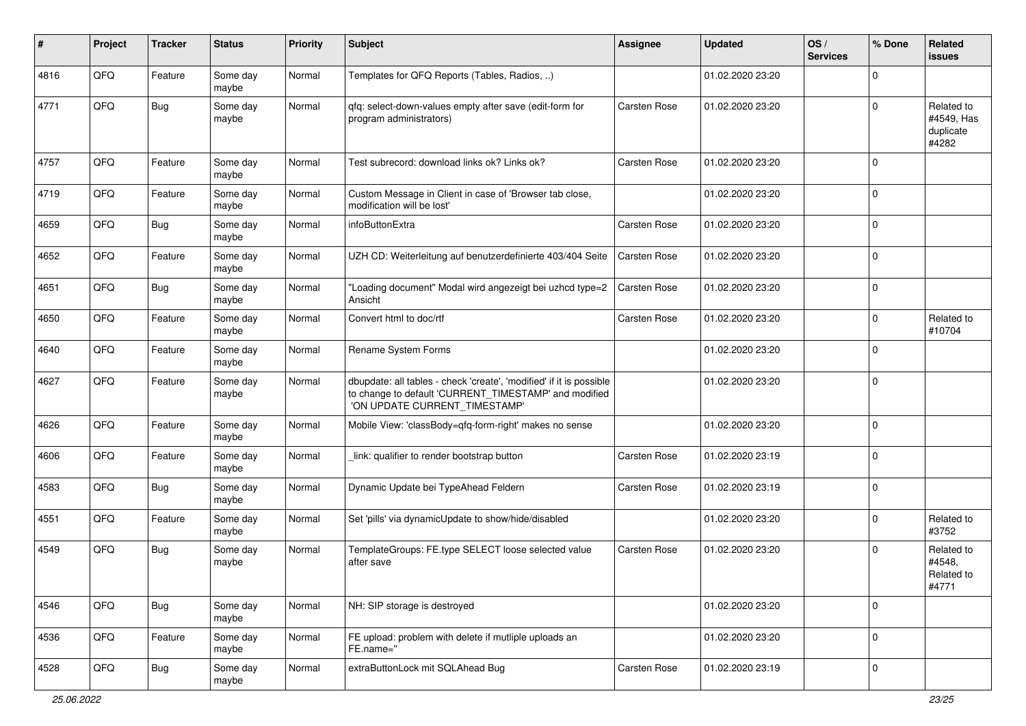| #    | Project | <b>Tracker</b> | <b>Status</b>     | <b>Priority</b> | <b>Subject</b>                                                                                                                                                | <b>Assignee</b> | <b>Updated</b>   | OS/<br><b>Services</b> | % Done      | Related<br><b>issues</b>                       |
|------|---------|----------------|-------------------|-----------------|---------------------------------------------------------------------------------------------------------------------------------------------------------------|-----------------|------------------|------------------------|-------------|------------------------------------------------|
| 4816 | QFQ     | Feature        | Some day<br>maybe | Normal          | Templates for QFQ Reports (Tables, Radios, )                                                                                                                  |                 | 01.02.2020 23:20 |                        | $\Omega$    |                                                |
| 4771 | QFQ     | Bug            | Some day<br>maybe | Normal          | qfq: select-down-values empty after save (edit-form for<br>program administrators)                                                                            | Carsten Rose    | 01.02.2020 23:20 |                        | $\Omega$    | Related to<br>#4549, Has<br>duplicate<br>#4282 |
| 4757 | QFQ     | Feature        | Some day<br>maybe | Normal          | Test subrecord: download links ok? Links ok?                                                                                                                  | Carsten Rose    | 01.02.2020 23:20 |                        | $\Omega$    |                                                |
| 4719 | QFQ     | Feature        | Some day<br>maybe | Normal          | Custom Message in Client in case of 'Browser tab close,<br>modification will be lost'                                                                         |                 | 01.02.2020 23:20 |                        | $\Omega$    |                                                |
| 4659 | QFQ     | Bug            | Some day<br>maybe | Normal          | infoButtonExtra                                                                                                                                               | Carsten Rose    | 01.02.2020 23:20 |                        | $\Omega$    |                                                |
| 4652 | QFQ     | Feature        | Some day<br>maybe | Normal          | UZH CD: Weiterleitung auf benutzerdefinierte 403/404 Seite                                                                                                    | Carsten Rose    | 01.02.2020 23:20 |                        | $\Omega$    |                                                |
| 4651 | QFQ     | Bug            | Some day<br>maybe | Normal          | "Loading document" Modal wird angezeigt bei uzhcd type=2<br>Ansicht                                                                                           | Carsten Rose    | 01.02.2020 23:20 |                        | $\Omega$    |                                                |
| 4650 | QFQ     | Feature        | Some day<br>maybe | Normal          | Convert html to doc/rtf                                                                                                                                       | Carsten Rose    | 01.02.2020 23:20 |                        | $\Omega$    | Related to<br>#10704                           |
| 4640 | QFQ     | Feature        | Some day<br>maybe | Normal          | Rename System Forms                                                                                                                                           |                 | 01.02.2020 23:20 |                        | $\Omega$    |                                                |
| 4627 | QFQ     | Feature        | Some day<br>maybe | Normal          | dbupdate: all tables - check 'create', 'modified' if it is possible<br>to change to default 'CURRENT_TIMESTAMP' and modified<br>'ON UPDATE CURRENT_TIMESTAMP' |                 | 01.02.2020 23:20 |                        | $\Omega$    |                                                |
| 4626 | QFQ     | Feature        | Some day<br>maybe | Normal          | Mobile View: 'classBody=qfq-form-right' makes no sense                                                                                                        |                 | 01.02.2020 23:20 |                        | $\Omega$    |                                                |
| 4606 | QFQ     | Feature        | Some day<br>maybe | Normal          | link: qualifier to render bootstrap button                                                                                                                    | Carsten Rose    | 01.02.2020 23:19 |                        | $\mathbf 0$ |                                                |
| 4583 | QFQ     | Bug            | Some day<br>maybe | Normal          | Dynamic Update bei TypeAhead Feldern                                                                                                                          | Carsten Rose    | 01.02.2020 23:19 |                        | $\mathbf 0$ |                                                |
| 4551 | QFQ     | Feature        | Some day<br>maybe | Normal          | Set 'pills' via dynamicUpdate to show/hide/disabled                                                                                                           |                 | 01.02.2020 23:20 |                        | $\Omega$    | Related to<br>#3752                            |
| 4549 | QFQ     | Bug            | Some day<br>maybe | Normal          | TemplateGroups: FE.type SELECT loose selected value<br>after save                                                                                             | Carsten Rose    | 01.02.2020 23:20 |                        | $\Omega$    | Related to<br>#4548.<br>Related to<br>#4771    |
| 4546 | QFQ     | <b>Bug</b>     | Some day<br>maybe | Normal          | NH: SIP storage is destroyed                                                                                                                                  |                 | 01.02.2020 23:20 |                        | $\mathbf 0$ |                                                |
| 4536 | QFQ     | Feature        | Some day<br>maybe | Normal          | FE upload: problem with delete if mutliple uploads an<br>FE.name="                                                                                            |                 | 01.02.2020 23:20 |                        | $\mathbf 0$ |                                                |
| 4528 | QFQ     | <b>Bug</b>     | Some day<br>maybe | Normal          | extraButtonLock mit SQLAhead Bug                                                                                                                              | Carsten Rose    | 01.02.2020 23:19 |                        | $\mathbf 0$ |                                                |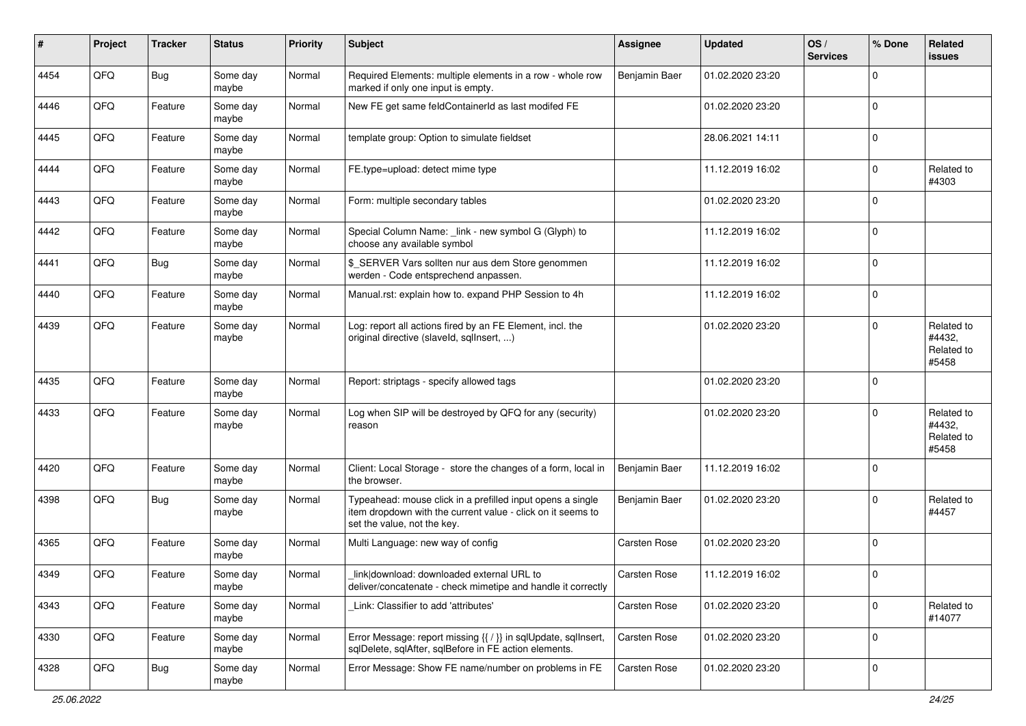| $\vert$ # | Project | <b>Tracker</b> | <b>Status</b>     | <b>Priority</b> | Subject                                                                                                                                                  | <b>Assignee</b> | <b>Updated</b>   | OS/<br><b>Services</b> | % Done      | Related<br><b>issues</b>                    |
|-----------|---------|----------------|-------------------|-----------------|----------------------------------------------------------------------------------------------------------------------------------------------------------|-----------------|------------------|------------------------|-------------|---------------------------------------------|
| 4454      | QFQ     | Bug            | Some day<br>maybe | Normal          | Required Elements: multiple elements in a row - whole row<br>marked if only one input is empty.                                                          | Benjamin Baer   | 01.02.2020 23:20 |                        | $\Omega$    |                                             |
| 4446      | QFQ     | Feature        | Some day<br>maybe | Normal          | New FE get same feldContainerId as last modifed FE                                                                                                       |                 | 01.02.2020 23:20 |                        | $\mathbf 0$ |                                             |
| 4445      | QFQ     | Feature        | Some day<br>maybe | Normal          | template group: Option to simulate fieldset                                                                                                              |                 | 28.06.2021 14:11 |                        | $\Omega$    |                                             |
| 4444      | QFQ     | Feature        | Some day<br>maybe | Normal          | FE.type=upload: detect mime type                                                                                                                         |                 | 11.12.2019 16:02 |                        | $\Omega$    | Related to<br>#4303                         |
| 4443      | QFQ     | Feature        | Some day<br>maybe | Normal          | Form: multiple secondary tables                                                                                                                          |                 | 01.02.2020 23:20 |                        | $\Omega$    |                                             |
| 4442      | QFQ     | Feature        | Some day<br>maybe | Normal          | Special Column Name: _link - new symbol G (Glyph) to<br>choose any available symbol                                                                      |                 | 11.12.2019 16:02 |                        | $\Omega$    |                                             |
| 4441      | QFQ     | <b>Bug</b>     | Some day<br>maybe | Normal          | \$ SERVER Vars sollten nur aus dem Store genommen<br>werden - Code entsprechend anpassen.                                                                |                 | 11.12.2019 16:02 |                        | $\Omega$    |                                             |
| 4440      | QFQ     | Feature        | Some day<br>maybe | Normal          | Manual.rst: explain how to. expand PHP Session to 4h                                                                                                     |                 | 11.12.2019 16:02 |                        | $\Omega$    |                                             |
| 4439      | QFQ     | Feature        | Some day<br>maybe | Normal          | Log: report all actions fired by an FE Element, incl. the<br>original directive (slaveld, sqlInsert, )                                                   |                 | 01.02.2020 23:20 |                        | $\Omega$    | Related to<br>#4432,<br>Related to<br>#5458 |
| 4435      | QFQ     | Feature        | Some day<br>maybe | Normal          | Report: striptags - specify allowed tags                                                                                                                 |                 | 01.02.2020 23:20 |                        | $\Omega$    |                                             |
| 4433      | QFQ     | Feature        | Some day<br>maybe | Normal          | Log when SIP will be destroyed by QFQ for any (security)<br>reason                                                                                       |                 | 01.02.2020 23:20 |                        | $\Omega$    | Related to<br>#4432,<br>Related to<br>#5458 |
| 4420      | QFQ     | Feature        | Some day<br>maybe | Normal          | Client: Local Storage - store the changes of a form, local in<br>the browser.                                                                            | Benjamin Baer   | 11.12.2019 16:02 |                        | $\Omega$    |                                             |
| 4398      | QFQ     | <b>Bug</b>     | Some day<br>maybe | Normal          | Typeahead: mouse click in a prefilled input opens a single<br>item dropdown with the current value - click on it seems to<br>set the value, not the key. | Benjamin Baer   | 01.02.2020 23:20 |                        | $\Omega$    | Related to<br>#4457                         |
| 4365      | QFQ     | Feature        | Some day<br>maybe | Normal          | Multi Language: new way of config                                                                                                                        | Carsten Rose    | 01.02.2020 23:20 |                        | $\Omega$    |                                             |
| 4349      | QFQ     | Feature        | Some day<br>maybe | Normal          | link download: downloaded external URL to<br>deliver/concatenate - check mimetipe and handle it correctly                                                | Carsten Rose    | 11.12.2019 16:02 |                        | $\mathbf 0$ |                                             |
| 4343      | QFQ     | Feature        | Some day<br>maybe | Normal          | Link: Classifier to add 'attributes'                                                                                                                     | Carsten Rose    | 01.02.2020 23:20 |                        | $\mathbf 0$ | Related to<br>#14077                        |
| 4330      | QFQ     | Feature        | Some day<br>maybe | Normal          | Error Message: report missing {{ / }} in sqlUpdate, sqlInsert,<br>sqlDelete, sqlAfter, sqlBefore in FE action elements.                                  | Carsten Rose    | 01.02.2020 23:20 |                        | 0           |                                             |
| 4328      | QFO     | <b>Bug</b>     | Some day<br>maybe | Normal          | Error Message: Show FE name/number on problems in FE                                                                                                     | Carsten Rose    | 01.02.2020 23:20 |                        | $\mathbf 0$ |                                             |